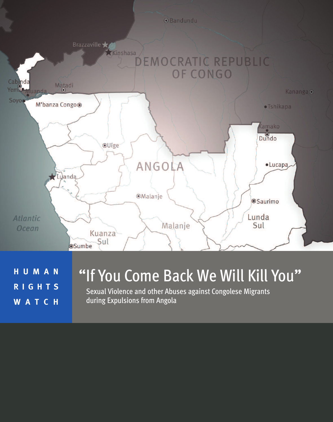

**H U M A N R I G H T S W A T C H**

# "If You Come Back We Will Kill You"

Sexual Violence and other Abuses against Congolese Migrants during Expulsions from Angola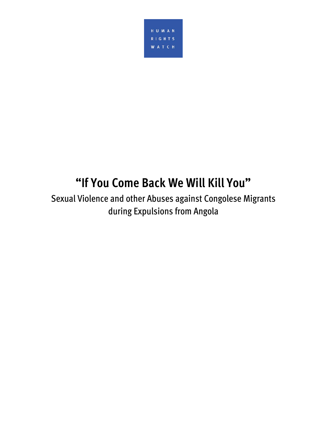

# **"If You Come Back We Will Kill You"**

Sexual Violence and other Abuses against Congolese Migrants during Expulsions from Angola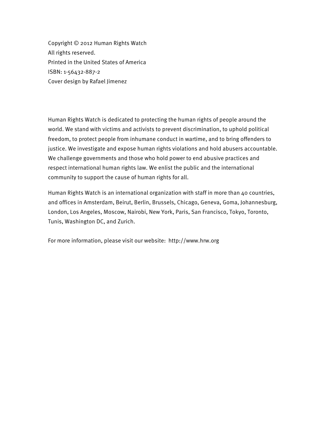Copyright © 2012 Human Rights Watch All rights reserved. Printed in the United States of America ISBN: 1-56432-887-2 Cover design by Rafael Jimenez

Human Rights Watch is dedicated to protecting the human rights of people around the world. We stand with victims and activists to prevent discrimination, to uphold political freedom, to protect people from inhumane conduct in wartime, and to bring offenders to justice. We investigate and expose human rights violations and hold abusers accountable. We challenge governments and those who hold power to end abusive practices and respect international human rights law. We enlist the public and the international community to support the cause of human rights for all.

Human Rights Watch is an international organization with staff in more than 40 countries, and offices in Amsterdam, Beirut, Berlin, Brussels, Chicago, Geneva, Goma, Johannesburg, London, Los Angeles, Moscow, Nairobi, New York, Paris, San Francisco, Tokyo, Toronto, Tunis, Washington DC, and Zurich.

For more information, please visit our website: http://www.hrw.org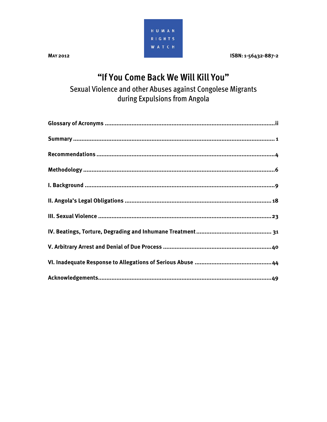

**MAY 2012** 

ISBN: 1-56432-887-2

## "If You Come Back We Will Kill You"

Sexual Violence and other Abuses against Congolese Migrants during Expulsions from Angola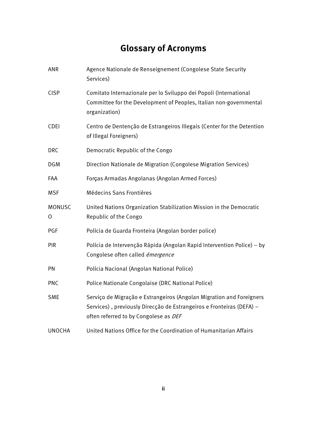## **Glossary of Acronyms**

| ANR            | Agence Nationale de Renseignement (Congolese State Security<br>Services)                                                                                                              |
|----------------|---------------------------------------------------------------------------------------------------------------------------------------------------------------------------------------|
| <b>CISP</b>    | Comitato Internazionale per lo Sviluppo dei Popoli (International<br>Committee for the Development of Peoples, Italian non-governmental<br>organization)                              |
| <b>CDEI</b>    | Centro de Dentenção de Estrangeiros Illegais (Center for the Detention<br>of Illegal Foreigners)                                                                                      |
| <b>DRC</b>     | Democratic Republic of the Congo                                                                                                                                                      |
| <b>DGM</b>     | Direction Nationale de Migration (Congolese Migration Services)                                                                                                                       |
| FAA            | Forças Armadas Angolanas (Angolan Armed Forces)                                                                                                                                       |
| <b>MSF</b>     | Médecins Sans Frontières                                                                                                                                                              |
| MONUSC         | United Nations Organization Stabilization Mission in the Democratic                                                                                                                   |
| $\overline{O}$ | Republic of the Congo                                                                                                                                                                 |
| PGF            | Polícia de Guarda Fronteira (Angolan border police)                                                                                                                                   |
| <b>PIR</b>     | Polícia de Intervenção Rápida (Angolan Rapid Intervention Police) - by<br>Congolese often called émergence                                                                            |
| PN             | Polícia Nacional (Angolan National Police)                                                                                                                                            |
| <b>PNC</b>     | Police Nationale Congolaise (DRC National Police)                                                                                                                                     |
| <b>SME</b>     | Serviço de Migração e Estrangeiros (Angolan Migration and Foreigners<br>Services), previously Direcção de Estrangeiros e Fronteiras (DEFA) -<br>often referred to by Congolese as DEF |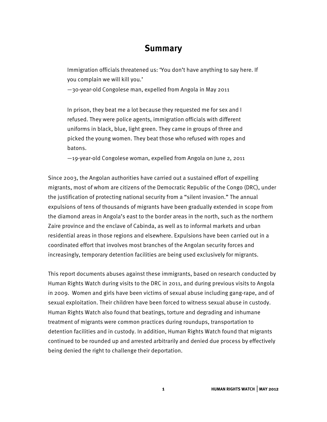## **Summary**

Immigration officials threatened us: 'You don't have anything to say here. If you complain we will kill you.'

—30-year-old Congolese man, expelled from Angola in May 2011

In prison, they beat me a lot because they requested me for sex and I refused. They were police agents, immigration officials with different uniforms in black, blue, light green. They came in groups of three and picked the young women. They beat those who refused with ropes and batons.

—19-year-old Congolese woman, expelled from Angola on June 2, 2011

Since 2003, the Angolan authorities have carried out a sustained effort of expelling migrants, most of whom are citizens of the Democratic Republic of the Congo (DRC), under the justification of protecting national security from a "silent invasion." The annual expulsions of tens of thousands of migrants have been gradually extended in scope from the diamond areas in Angola's east to the border areas in the north, such as the northern Zaire province and the enclave of Cabinda, as well as to informal markets and urban residential areas in those regions and elsewhere. Expulsions have been carried out in a coordinated effort that involves most branches of the Angolan security forces and increasingly, temporary detention facilities are being used exclusively for migrants.

This report documents abuses against these immigrants, based on research conducted by Human Rights Watch during visits to the DRC in 2011, and during previous visits to Angola in 2009. Women and girls have been victims of sexual abuse including gang-rape, and of sexual exploitation. Their children have been forced to witness sexual abuse in custody. Human Rights Watch also found that beatings, torture and degrading and inhumane treatment of migrants were common practices during roundups, transportation to detention facilities and in custody. In addition, Human Rights Watch found that migrants continued to be rounded up and arrested arbitrarily and denied due process by effectively being denied the right to challenge their deportation.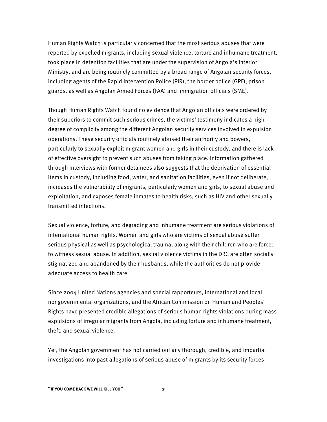Human Rights Watch is particularly concerned that the most serious abuses that were reported by expelled migrants, including sexual violence, torture and inhumane treatment, took place in detention facilities that are under the supervision of Angola's Interior Ministry, and are being routinely committed by a broad range of Angolan security forces, including agents of the Rapid Intervention Police (PIR), the border police (GPF), prison guards, as well as Angolan Armed Forces (FAA) and immigration officials (SME).

Though Human Rights Watch found no evidence that Angolan officials were ordered by their superiors to commit such serious crimes, the victims' testimony indicates a high degree of complicity among the different Angolan security services involved in expulsion operations. These security officials routinely abused their authority and powers, particularly to sexually exploit migrant women and girls in their custody, and there is lack of effective oversight to prevent such abuses from taking place. Information gathered through interviews with former detainees also suggests that the deprivation of essential items in custody, including food, water, and sanitation facilities, even if not deliberate, increases the vulnerability of migrants, particularly women and girls, to sexual abuse and exploitation, and exposes female inmates to health risks, such as HIV and other sexually transmitted infections.

Sexual violence, torture, and degrading and inhumane treatment are serious violations of international human rights. Women and girls who are victims of sexual abuse suffer serious physical as well as psychological trauma, along with their children who are forced to witness sexual abuse. In addition, sexual violence victims in the DRC are often socially stigmatized and abandoned by their husbands, while the authorities do not provide adequate access to health care.

Since 2004 United Nations agencies and special rapporteurs, international and local nongovernmental organizations, and the African Commission on Human and Peoples' Rights have presented credible allegations of serious human rights violations during mass expulsions of irregular migrants from Angola, including torture and inhumane treatment, theft, and sexual violence.

Yet, the Angolan government has not carried out any thorough, credible, and impartial investigations into past allegations of serious abuse of migrants by its security forces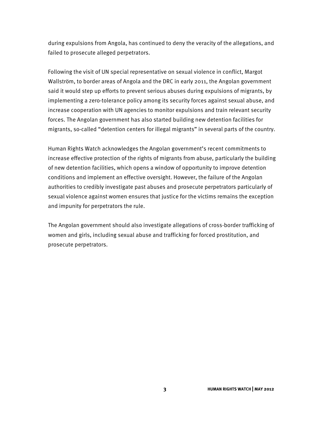during expulsions from Angola, has continued to deny the veracity of the allegations, and failed to prosecute alleged perpetrators.

Following the visit of UN special representative on sexual violence in conflict, Margot Wallström, to border areas of Angola and the DRC in early 2011, the Angolan government said it would step up efforts to prevent serious abuses during expulsions of migrants, by implementing a zero-tolerance policy among its security forces against sexual abuse, and increase cooperation with UN agencies to monitor expulsions and train relevant security forces. The Angolan government has also started building new detention facilities for migrants, so-called "detention centers for illegal migrants" in several parts of the country.

Human Rights Watch acknowledges the Angolan government's recent commitments to increase effective protection of the rights of migrants from abuse, particularly the building of new detention facilities, which opens a window of opportunity to improve detention conditions and implement an effective oversight. However, the failure of the Angolan authorities to credibly investigate past abuses and prosecute perpetrators particularly of sexual violence against women ensures that justice for the victims remains the exception and impunity for perpetrators the rule.

The Angolan government should also investigate allegations of cross-border trafficking of women and girls, including sexual abuse and trafficking for forced prostitution, and prosecute perpetrators.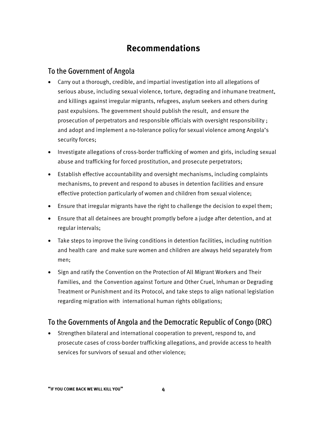## **Recommendations**

#### To the Government of Angola

- Carry out a thorough, credible, and impartial investigation into all allegations of serious abuse, including sexual violence, torture, degrading and inhumane treatment, and killings against irregular migrants, refugees, asylum seekers and others during past expulsions. The government should publish the result, and ensure the prosecution of perpetrators and responsible officials with oversight responsibility ; and adopt and implement a no-tolerance policy for sexual violence among Angola's security forces;
- Investigate allegations of cross-border trafficking of women and girls, including sexual abuse and trafficking for forced prostitution, and prosecute perpetrators;
- Establish effective accountability and oversight mechanisms, including complaints mechanisms, to prevent and respond to abuses in detention facilities and ensure effective protection particularly of women and children from sexual violence;
- Ensure that irregular migrants have the right to challenge the decision to expel them;
- Ensure that all detainees are brought promptly before a judge after detention, and at regular intervals;
- Take steps to improve the living conditions in detention facilities, including nutrition and health care and make sure women and children are always held separately from men;
- Sign and ratify the Convention on the Protection of All Migrant Workers and Their Families, and the Convention against Torture and Other Cruel, Inhuman or Degrading Treatment or Punishment and its Protocol, and take steps to align national legislation regarding migration with international human rights obligations;

## To the Governments of Angola and the Democratic Republic of Congo (DRC)

• Strengthen bilateral and international cooperation to prevent, respond to, and prosecute cases of cross-border trafficking allegations, and provide access to health services for survivors of sexual and other violence;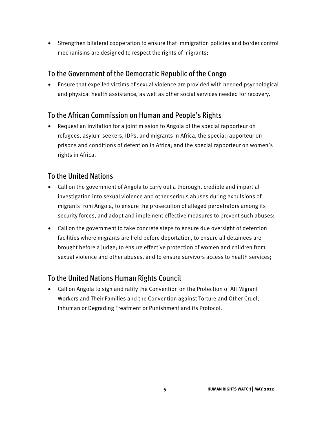• Strengthen bilateral cooperation to ensure that immigration policies and border control mechanisms are designed to respect the rights of migrants;

## To the Government of the Democratic Republic of the Congo

• Ensure that expelled victims of sexual violence are provided with needed psychological and physical health assistance, as well as other social services needed for recovery.

## To the African Commission on Human and People's Rights

• Request an invitation for a joint mission to Angola of the special rapporteur on refugees, asylum seekers, IDPs, and migrants in Africa, the special rapporteur on prisons and conditions of detention in Africa; and the special rapporteur on women's rights in Africa.

## To the United Nations

- Call on the government of Angola to carry out a thorough, credible and impartial investigation into sexual violence and other serious abuses during expulsions of migrants from Angola, to ensure the prosecution of alleged perpetrators among its security forces, and adopt and implement effective measures to prevent such abuses;
- Call on the government to take concrete steps to ensure due oversight of detention facilities where migrants are held before deportation, to ensure all detainees are brought before a judge; to ensure effective protection of women and children from sexual violence and other abuses, and to ensure survivors access to health services;

## To the United Nations Human Rights Council

• Call on Angola to sign and ratify the Convention on the Protection of All Migrant Workers and Their Families and the Convention against Torture and Other Cruel, Inhuman or Degrading Treatment or Punishment and its Protocol.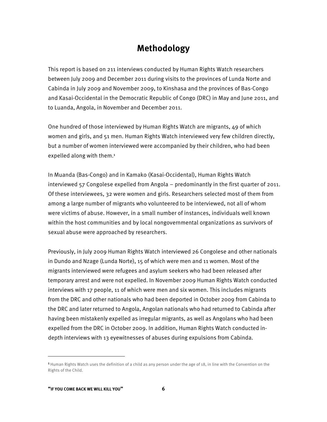## **Methodology**

This report is based on 211 interviews conducted by Human Rights Watch researchers between July 2009 and December 2011 during visits to the provinces of Lunda Norte and Cabinda in July 2009 and November 2009, to Kinshasa and the provinces of Bas-Congo and Kasai-Occidental in the Democratic Republic of Congo (DRC) in May and June 2011, and to Luanda, Angola, in November and December 2011.

One hundred of those interviewed by Human Rights Watch are migrants, 49 of which women and girls, and 51 men. Human Rights Watch interviewed very few children directly, but a number of women interviewed were accompanied by their children, who had been expelled along with them.<sup>1</sup>

In Muanda (Bas-Congo) and in Kamako (Kasai-Occidental), Human Rights Watch interviewed 57 Congolese expelled from Angola – predominantly in the first quarter of 2011. Of these interviewees, 32 were women and girls. Researchers selected most of them from among a large number of migrants who volunteered to be interviewed, not all of whom were victims of abuse. However, in a small number of instances, individuals well known within the host communities and by local nongovernmental organizations as survivors of sexual abuse were approached by researchers.

Previously, in July 2009 Human Rights Watch interviewed 26 Congolese and other nationals in Dundo and Nzage (Lunda Norte), 15 of which were men and 11 women. Most of the migrants interviewed were refugees and asylum seekers who had been released after temporary arrest and were not expelled. In November 2009 Human Rights Watch conducted interviews with 17 people, 11 of which were men and six women. This includes migrants from the DRC and other nationals who had been deported in October 2009 from Cabinda to the DRC and later returned to Angola, Angolan nationals who had returned to Cabinda after having been mistakenly expelled as irregular migrants, as well as Angolans who had been expelled from the DRC in October 2009. In addition, Human Rights Watch conducted indepth interviews with 13 eyewitnesses of abuses during expulsions from Cabinda.

-

<sup>&</sup>lt;sup>1</sup> Human Rights Watch uses the definition of a child as any person under the age of 18, in line with the Convention on the Rights of the Child.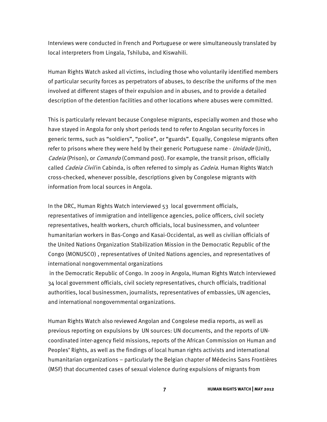Interviews were conducted in French and Portuguese or were simultaneously translated by local interpreters from Lingala, Tshiluba, and Kiswahili.

Human Rights Watch asked all victims, including those who voluntarily identified members of particular security forces as perpetrators of abuses, to describe the uniforms of the men involved at different stages of their expulsion and in abuses, and to provide a detailed description of the detention facilities and other locations where abuses were committed.

This is particularly relevant because Congolese migrants, especially women and those who have stayed in Angola for only short periods tend to refer to Angolan security forces in generic terms, such as "soldiers", "police", or "guards". Equally, Congolese migrants often refer to prisons where they were held by their generic Portuguese name - Unidade (Unit), Cadeia (Prison), or *Comando* (Command post). For example, the transit prison, officially called *Cadeia Civil* in Cabinda, is often referred to simply as *Cadeia*. Human Rights Watch cross-checked, whenever possible, descriptions given by Congolese migrants with information from local sources in Angola.

In the DRC, Human Rights Watch interviewed 53 local government officials, representatives of immigration and intelligence agencies, police officers, civil society representatives, health workers, church officials, local businessmen, and volunteer humanitarian workers in Bas-Congo and Kasai-Occidental, as well as civilian officials of the United Nations Organization Stabilization Mission in the Democratic Republic of the Congo (MONUSCO) , representatives of United Nations agencies, and representatives of international nongovernmental organizations

 in the Democratic Republic of Congo. In 2009 in Angola, Human Rights Watch interviewed 34 local government officials, civil society representatives, church officials, traditional authorities, local businessmen, journalists, representatives of embassies, UN agencies, and international nongovernmental organizations.

Human Rights Watch also reviewed Angolan and Congolese media reports, as well as previous reporting on expulsions by UN sources: UN documents, and the reports of UNcoordinated inter-agency field missions, reports of the African Commission on Human and Peoples' Rights, as well as the findings of local human rights activists and international humanitarian organizations – particularly the Belgian chapter of Médecins Sans Frontières (MSF) that documented cases of sexual violence during expulsions of migrants from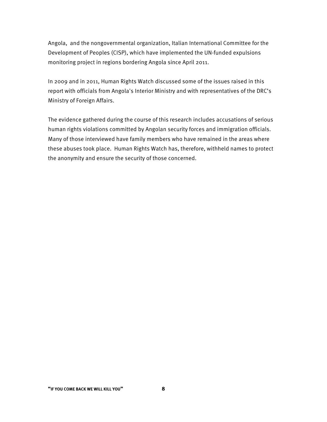Angola, and the nongovernmental organization, Italian International Committee for the Development of Peoples (CISP), which have implemented the UN-funded expulsions monitoring project in regions bordering Angola since April 2011.

In 2009 and in 2011, Human Rights Watch discussed some of the issues raised in this report with officials from Angola's Interior Ministry and with representatives of the DRC's Ministry of Foreign Affairs.

The evidence gathered during the course of this research includes accusations of serious human rights violations committed by Angolan security forces and immigration officials. Many of those interviewed have family members who have remained in the areas where these abuses took place. Human Rights Watch has, therefore, withheld names to protect the anonymity and ensure the security of those concerned.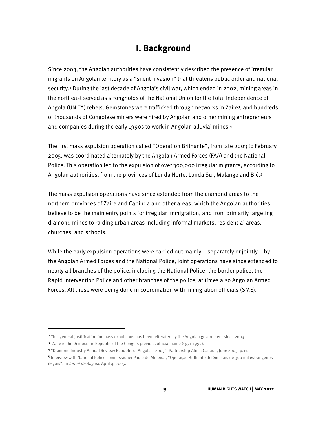## **I. Background**

Since 2003, the Angolan authorities have consistently described the presence of irregular migrants on Angolan territory as a "silent invasion" that threatens public order and national security.2 During the last decade of Angola's civil war, which ended in 2002, mining areas in the northeast served as strongholds of the National Union for the Total Independence of Angola (UNITA) rebels. Gemstones were trafficked through networks in Zaire3, and hundreds of thousands of Congolese miners were hired by Angolan and other mining entrepreneurs and companies during the early 1990s to work in Angolan alluvial mines.4

The first mass expulsion operation called "Operation Brilhante", from late 2003 to February 2005, was coordinated alternately by the Angolan Armed Forces (FAA) and the National Police. This operation led to the expulsion of over 300,000 irregular migrants, according to Angolan authorities, from the provinces of Lunda Norte, Lunda Sul, Malange and Bié.<sup>5</sup>

The mass expulsion operations have since extended from the diamond areas to the northern provinces of Zaire and Cabinda and other areas, which the Angolan authorities believe to be the main entry points for irregular immigration, and from primarily targeting diamond mines to raiding urban areas including informal markets, residential areas, churches, and schools.

While the early expulsion operations were carried out mainly – separately or jointly – by the Angolan Armed Forces and the National Police, joint operations have since extended to nearly all branches of the police, including the National Police, the border police, the Rapid Intervention Police and other branches of the police, at times also Angolan Armed Forces. All these were being done in coordination with immigration officials (SME).

-

<sup>2</sup> This general justification for mass expulsions has been reiterated by the Angolan government since 2003.

<sup>3</sup> Zaire is the Democratic Republic of the Congo's previous official name (1971-1997).

<sup>4</sup> "Diamond Industry Annual Review: Republic of Angola – 2005", Partnership Africa Canada, June 2005, p.11.

<sup>5</sup> Interview with National Police commissioner Paulo de Almeida, "Operação Brilhante detém mais de 300 mil estrangeiros ilegais", in Jornal de Angola, April 4, 2005.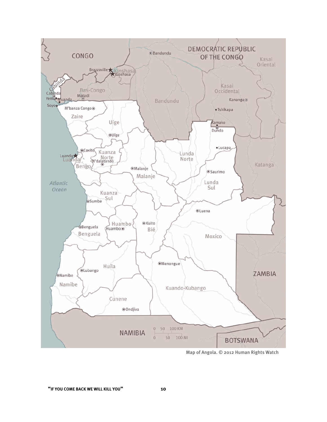

Map of Angola. © 2012 Human Rights Watch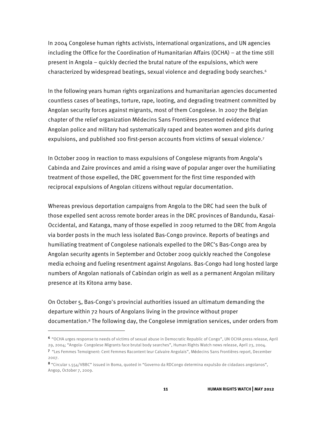In 2004 Congolese human rights activists, international organizations, and UN agencies including the Office for the Coordination of Humanitarian Affairs (OCHA) – at the time still present in Angola – quickly decried the brutal nature of the expulsions, which were characterized by widespread beatings, sexual violence and degrading body searches.<sup>6</sup>

In the following years human rights organizations and humanitarian agencies documented countless cases of beatings, torture, rape, looting, and degrading treatment committed by Angolan security forces against migrants, most of them Congolese. In 2007 the Belgian chapter of the relief organization Médecins Sans Frontières presented evidence that Angolan police and military had systematically raped and beaten women and girls during expulsions, and published 100 first-person accounts from victims of sexual violence.7

In October 2009 in reaction to mass expulsions of Congolese migrants from Angola's Cabinda and Zaire provinces and amid a rising wave of popular anger over the humiliating treatment of those expelled, the DRC government for the first time responded with reciprocal expulsions of Angolan citizens without regular documentation.

Whereas previous deportation campaigns from Angola to the DRC had seen the bulk of those expelled sent across remote border areas in the DRC provinces of Bandundu, Kasai-Occidental, and Katanga, many of those expelled in 2009 returned to the DRC from Angola via border posts in the much less isolated Bas-Congo province. Reports of beatings and humiliating treatment of Congolese nationals expelled to the DRC's Bas-Congo area by Angolan security agents in September and October 2009 quickly reached the Congolese media echoing and fueling resentment against Angolans. Bas-Congo had long hosted large numbers of Angolan nationals of Cabindan origin as well as a permanent Angolan military presence at its Kitona army base.

On October 5, Bas-Congo's provincial authorities issued an ultimatum demanding the departure within 72 hours of Angolans living in the province without proper documentation.8 The following day, the Congolese immigration services, under orders from

<sup>6</sup>"OCHA urges response to needs of victims of sexual abuse in Democratic Republic of Congo", UN OCHA press release, April 29, 2004; "Angola- Congolese Migrants face brutal body searches", Human Rights Watch news release, April 23, 2004. <sup>7</sup> "Les Femmes Temoignent: Cent Femmes Racontent leur Calvaire Angolais", Médecins Sans Frontières report, December

<sup>2007.</sup> 

<sup>8</sup> "Circular 1.554/VBBC" issued in Boma, quoted in "Governo da RDCongo determina expulsão de cidadaos angolanos", Angop, October 7, 2009.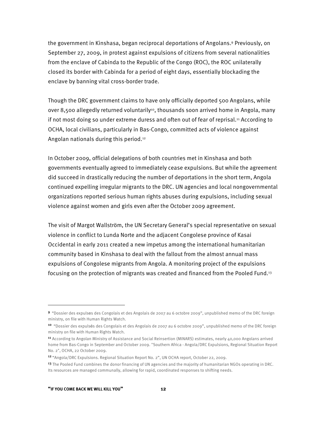the government in Kinshasa, began reciprocal deportations of Angolans.9 Previously, on September 27, 2009, in protest against expulsions of citizens from several nationalities from the enclave of Cabinda to the Republic of the Congo (ROC), the ROC unilaterally closed its border with Cabinda for a period of eight days, essentially blockading the enclave by banning vital cross-border trade.

Though the DRC government claims to have only officially deported 500 Angolans, while over 8,500 allegedly returned voluntarily<sup>10</sup>, thousands soon arrived home in Angola, many if not most doing so under extreme duress and often out of fear of reprisal.<sup>11</sup> According to OCHA, local civilians, particularly in Bas-Congo, committed acts of violence against Angolan nationals during this period.12

In October 2009, official delegations of both countries met in Kinshasa and both governments eventually agreed to immediately cease expulsions. But while the agreement did succeed in drastically reducing the number of deportations in the short term, Angola continued expelling irregular migrants to the DRC. UN agencies and local nongovernmental organizations reported serious human rights abuses during expulsions, including sexual violence against women and girls even after the October 2009 agreement.

The visit of Margot Wallström, the UN Secretary General's special representative on sexual violence in conflict to Lunda Norte and the adjacent Congolese province of Kasai Occidental in early 2011 created a new impetus among the international humanitarian community based in Kinshasa to deal with the fallout from the almost annual mass expulsions of Congolese migrants from Angola. A monitoring project of the expulsions focusing on the protection of migrants was created and financed from the Pooled Fund.13

1

<sup>9</sup> "Dossier des expulses des Congolais et des Angolais de 2007 au 6 octobre 2009", unpublished memo of the DRC foreign ministry, on file with Human Rights Watch.

<sup>10</sup> "Dossier des expulsés des Congolais et des Angolais de 2007 au 6 octobre 2009", unpublished memo of the DRC foreign ministry on file with Human Rights Watch.

<sup>11</sup> According to Angolan Ministry of Assistance and Social Reinsertion (MINARS) estimates, nearly 40,000 Angolans arrived home from Bas-Congo in September and October 2009. "Southern Africa - Angola/DRC Expulsions, Regional Situation Report No. 2", OCHA, 22 October 2009.

<sup>12</sup>"Angola/DRC Expulsions. Regional Situation Report No. 2", UN OCHA report, October 22, 2009.

<sup>&</sup>lt;sup>13</sup> The Pooled Fund combines the donor financing of UN agencies and the majority of humanitarian NGOs operating in DRC. Its resources are managed communally, allowing for rapid, coordinated responses to shifting needs.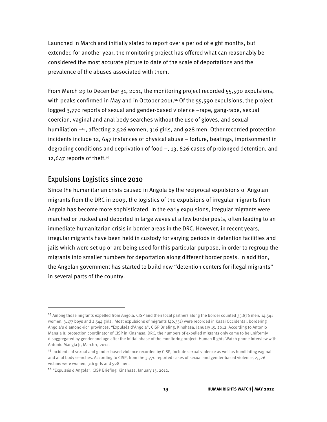Launched in March and initially slated to report over a period of eight months, but extended for another year, the monitoring project has offered what can reasonably be considered the most accurate picture to date of the scale of deportations and the prevalence of the abuses associated with them.

From March 29 to December 31, 2011, the monitoring project recorded 55,590 expulsions, with peaks confirmed in May and in October 2011.<sup>14</sup> Of the 55,590 expulsions, the project logged 3,770 reports of sexual and gender-based violence –rape, gang-rape, sexual coercion, vaginal and anal body searches without the use of gloves, and sexual humiliation –15, affecting 2,526 women, 316 girls, and 928 men. Other recorded protection incidents include 12, 647 instances of physical abuse – torture, beatings, imprisonment in degrading conditions and deprivation of food –, 13, 626 cases of prolonged detention, and 12,647 reports of theft.16

#### Expulsions Logistics since 2010

-

Since the humanitarian crisis caused in Angola by the reciprocal expulsions of Angolan migrants from the DRC in 2009, the logistics of the expulsions of irregular migrants from Angola has become more sophisticated. In the early expulsions, irregular migrants were marched or trucked and deported in large waves at a few border posts, often leading to an immediate humanitarian crisis in border areas in the DRC. However, in recent years, irregular migrants have been held in custody for varying periods in detention facilities and jails which were set up or are being used for this particular purpose, in order to regroup the migrants into smaller numbers for deportation along different border posts. In addition, the Angolan government has started to build new "detention centers for illegal migrants" in several parts of the country.

<sup>14</sup> Among those migrants expelled from Angola, CISP and their local partners along the border counted 33,876 men, 14,541 women, 3,177 boys and 2,544 girls. Most expulsions of migrants (40,331) were recorded in Kasai Occidental, bordering Angola's diamond-rich provinces. "Expulsés d'Angola", CISP Briefing, Kinshasa, January 15, 2012. According to Antonio Mangia Jr, protection coordinator of CISP in Kinshasa, DRC, the numbers of expelled migrants only came to be uniformly disaggregated by gender and age after the initial phase of the monitoring project. Human Rights Watch phone interview with Antonio Mangia Jr, March 1, 2012.

<sup>15</sup> Incidents of sexual and gender-based violence recorded by CISP, include sexual violence as well as humiliating vaginal and anal body searches. According to CISP, from the 3,770 reported cases of sexual and gender-based violence, 2,526 victims were women, 316 girls and 928 men.

<sup>16</sup> "Expulsés d'Angola", CISP Briefing, Kinshasa, January 15, 2012.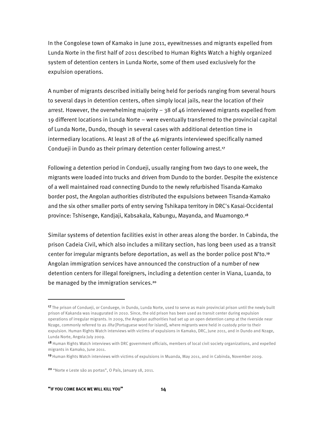In the Congolese town of Kamako in June 2011, eyewitnesses and migrants expelled from Lunda Norte in the first half of 2011 described to Human Rights Watch a highly organized system of detention centers in Lunda Norte, some of them used exclusively for the expulsion operations.

A number of migrants described initially being held for periods ranging from several hours to several days in detention centers, often simply local jails, near the location of their arrest. However, the overwhelming majority – 38 of 46 interviewed migrants expelled from 19 different locations in Lunda Norte – were eventually transferred to the provincial capital of Lunda Norte, Dundo, though in several cases with additional detention time in intermediary locations. At least 28 of the 46 migrants interviewed specifically named Condueji in Dundo as their primary detention center following arrest.17

Following a detention period in Condueji, usually ranging from two days to one week, the migrants were loaded into trucks and driven from Dundo to the border. Despite the existence of a well maintained road connecting Dundo to the newly refurbished Tisanda-Kamako border post, the Angolan authorities distributed the expulsions between Tisanda-Kamako and the six other smaller ports of entry serving Tshikapa territory in DRC's Kasai-Occidental province: Tshisenge, Kandjaji, Kabsakala, Kabungu, Mayanda, and Muamongo.<sup>18</sup>

Similar systems of detention facilities exist in other areas along the border. In Cabinda, the prison Cadeia Civil, which also includes a military section, has long been used as a transit center for irregular migrants before deportation, as well as the border police post N'to.19 Angolan immigration services have announced the construction of a number of new detention centers for illegal foreigners, including a detention center in Viana, Luanda, to be managed by the immigration services.<sup>20</sup>

j

<sup>&</sup>lt;sup>17</sup> The prison of Condueji, or Conduege, in Dundo, Lunda Norte, used to serve as main provincial prison until the newly built prison of Kakanda was inaugurated in 2010. Since, the old prison has been used as transit center during expulsion operations of irregular migrants. In 2009, the Angolan authorities had set up an open detention camp at the riverside near Nzage, commonly referred to as *Ilha* [Portuguese word for island], where migrants were held in custody prior to their expulsion. Human Rights Watch interviews with victims of expulsions in Kamako, DRC, June 2011, and in Dundo and Nzage, Lunda Norte, Angola July 2009.

<sup>18</sup> Human Rights Watch interviews with DRC government officials, members of local civil society organizations, and expelled migrants in Kamako, June 2011.

<sup>&</sup>lt;sup>19</sup> Human Rights Watch interviews with victims of expulsions in Muanda, May 2011, and in Cabinda, November 2009.

<sup>20</sup> "Norte e Leste são as portas", O País, January 18, 2011.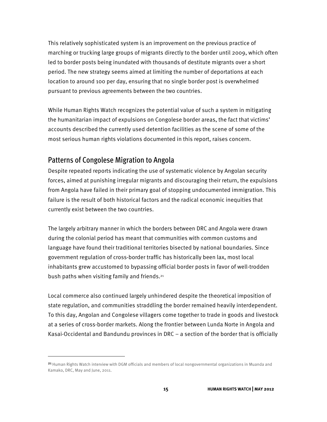This relatively sophisticated system is an improvement on the previous practice of marching or trucking large groups of migrants directly to the border until 2009, which often led to border posts being inundated with thousands of destitute migrants over a short period. The new strategy seems aimed at limiting the number of deportations at each location to around 100 per day, ensuring that no single border post is overwhelmed pursuant to previous agreements between the two countries.

While Human Rights Watch recognizes the potential value of such a system in mitigating the humanitarian impact of expulsions on Congolese border areas, the fact that victims' accounts described the currently used detention facilities as the scene of some of the most serious human rights violations documented in this report, raises concern.

#### Patterns of Congolese Migration to Angola

1

Despite repeated reports indicating the use of systematic violence by Angolan security forces, aimed at punishing irregular migrants and discouraging their return, the expulsions from Angola have failed in their primary goal of stopping undocumented immigration. This failure is the result of both historical factors and the radical economic inequities that currently exist between the two countries.

The largely arbitrary manner in which the borders between DRC and Angola were drawn during the colonial period has meant that communities with common customs and language have found their traditional territories bisected by national boundaries. Since government regulation of cross-border traffic has historically been lax, most local inhabitants grew accustomed to bypassing official border posts in favor of well-trodden bush paths when visiting family and friends.21

Local commerce also continued largely unhindered despite the theoretical imposition of state regulation, and communities straddling the border remained heavily interdependent. To this day, Angolan and Congolese villagers come together to trade in goods and livestock at a series of cross-border markets. Along the frontier between Lunda Norte in Angola and Kasai-Occidental and Bandundu provinces in DRC – a section of the border that is officially

<sup>&</sup>lt;sup>21</sup> Human Rights Watch interview with DGM officials and members of local nongovernmental organizations in Muanda and Kamako, DRC, May and June, 2011.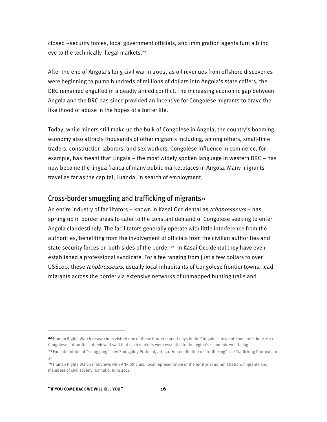closed –security forces, local government officials, and immigration agents turn a blind eye to the technically illegal markets.<sup>22</sup>

After the end of Angola's long civil war in 2002, as oil revenues from offshore discoveries were beginning to pump hundreds of millions of dollars into Angola's state coffers, the DRC remained engulfed in a deadly armed conflict. The increasing economic gap between Angola and the DRC has since provided an incentive for Congolese migrants to brave the likelihood of abuse in the hopes of a better life.

Today, while miners still make up the bulk of Congolese in Angola, the country's booming economy also attracts thousands of other migrants including, among others, small-time traders, construction laborers, and sex workers. Congolese influence in commerce, for example, has meant that Lingala – the most widely spoken language in western DRC – has now become the lingua franca of many public marketplaces in Angola. Many migrants travel as far as the capital, Luanda, in search of employment.

#### Cross-border smuggling and trafficking of migrants<sup>23</sup>

An entire industry of facilitators – known in Kasai Occidental as *tchobresseurs* – has sprung up in border areas to cater to the constant demand of Congolese seeking to enter Angola clandestinely. The facilitators generally operate with little interference from the authorities, benefiting from the involvement of officials from the civilian authorities and state security forces on both sides of the border.24 In Kasai Occidental they have even established a professional syndicate. For a fee ranging from just a few dollars to over US\$100, these *tchobresseurs*, usually local inhabitants of Congolese frontier towns, lead migrants across the border via extensive networks of unmapped hunting trails and

1

<sup>&</sup>lt;sup>22</sup> Human Rights Watch researchers visited one of these border market days in the Congolese town of Kamako in June 2011. Congolese authorities interviewed said that such markets were essential to the region's economic well-being.

<sup>&</sup>lt;sup>23</sup> For a definition of "smuggling", see Smuggling Protocol, art. 3a. For a definition of "trafficking" see Trafficking Protocol, art. 3a.

<sup>24</sup> Human Rights Watch interviews with ANR officials, local representative of the territorial administration, migrants and members of civil society, Kamako, June 2011.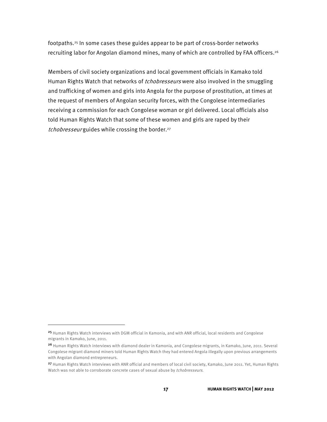footpaths.25 In some cases these guides appear to be part of cross-border networks recruiting labor for Angolan diamond mines, many of which are controlled by FAA officers.<sup>26</sup>

Members of civil society organizations and local government officials in Kamako told Human Rights Watch that networks of *tchobresseurs* were also involved in the smuggling and trafficking of women and girls into Angola for the purpose of prostitution, at times at the request of members of Angolan security forces, with the Congolese intermediaries receiving a commission for each Congolese woman or girl delivered. Local officials also told Human Rights Watch that some of these women and girls are raped by their tchobresseur guides while crossing the border.<sup>27</sup>

j

<sup>25</sup> Human Rights Watch interviews with DGM official in Kamonia, and with ANR official, local residents and Congolese migrants in Kamako, June, 2011.

<sup>&</sup>lt;sup>26</sup> Human Rights Watch interviews with diamond dealer in Kamonia, and Congolese migrants, in Kamako, June, 2011. Several Congolese migrant diamond miners told Human Rights Watch they had entered Angola illegally upon previous arrangements with Angolan diamond entrepreneurs.

<sup>27</sup> Human Rights Watch interviews with ANR official and members of local civil society, Kamako, June 2011. Yet, Human Rights Watch was not able to corroborate concrete cases of sexual abuse by *tchobresseurs*.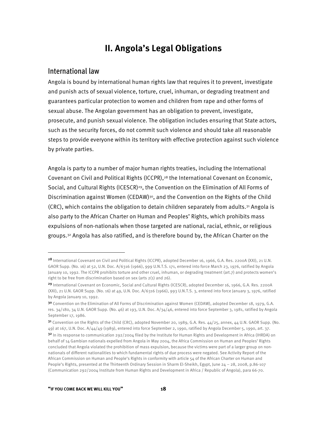## **II. Angola's Legal Obligations**

#### International law

1

Angola is bound by international human rights law that requires it to prevent, investigate and punish acts of sexual violence, torture, cruel, inhuman, or degrading treatment and guarantees particular protection to women and children from rape and other forms of sexual abuse. The Angolan government has an obligation to prevent, investigate, prosecute, and punish sexual violence. The obligation includes ensuring that State actors, such as the security forces, do not commit such violence and should take all reasonable steps to provide everyone within its territory with effective protection against such violence by private parties.

Angola is party to a number of major human rights treaties, including the International Covenant on Civil and Political Rights (ICCPR),28 the International Covenant on Economic, Social, and Cultural Rights (ICESCR)<sup>29</sup>, the Convention on the Elimination of All Forms of Discrimination against Women (CEDAW)<sup>30</sup>, and the Convention on the Rights of the Child  $(CRC)$ , which contains the obligation to detain children separately from adults.<sup>31</sup> Angola is also party to the African Charter on Human and Peoples' Rights, which prohibits mass expulsions of non-nationals when those targeted are national, racial, ethnic, or religious groups.32 Angola has also ratified, and is therefore bound by, the African Charter on the

<sup>28</sup> International Covenant on Civil and Political Rights (ICCPR), adopted December 16, 1966, G.A. Res. 2200A (XXI), 21 U.N. GAOR Supp. (No. 16) at 52, U.N. Doc. A/6316 (1966), 999 U.N.T.S. 171, entered into force March 23, 1976, ratified by Angola January 10, 1992. The ICCPR prohibits torture and other cruel, inhuman, or degrading treatment (art.7) and protects women's right to be free from discrimination based on sex (arts 2(1) and 26).

<sup>29</sup> International Covenant on Economic, Social and Cultural Rights (ICESCR), adopted December 16, 1966, G.A. Res. 2200A (XXI), 21 U.N. GAOR Supp. (No. 16) at 49, U.N. Doc. A/6316 (1966), 993 U.N.T.S. 3, entered into force January 3, 1976, ratified by Angola January 10, 1992.

<sup>3</sup>º Convention on the Elimination of All Forms of Discrimination against Women (CEDAW), adopted December 18, 1979, G.A. res. 34/180, 34 U.N. GAOR Supp. (No. 46) at 193, U.N. Doc. A/34/46, entered into force September 3, 1981, ratified by Angola September 17, 1986.

<sup>31</sup> Convention on the Rights of the Child (CRC), adopted November 20, 1989, G.A. Res. 44/25, annex, 44 U.N. GAOR Supp. (No. 49) at 167, U.N. Doc. A/44/49 (1989), entered into force September 2, 1990, ratified by Angola December 5, 1990, art. 37. 32 In its response to communication 292/2004 filed by the Institute for Human Rights and Development in Africa (IHRDA) on behalf of 14 Gambian nationals expelled from Angola in May 2004, the Africa Commission on Human and Peoples' Rights concluded that Angola violated the prohibition of mass expulsion, because the victims were part of a larger group on nonnationals of different nationalities to which fundamental rights of due process were negated. See Activity Report of the African Commission on Human and People's Rights in conformity with article 54 of the African Charter on Human and People's Rights, presented at the Thirteenth Ordinary Session in Sharm El-Sheikh, Egypt, June 24 – 28, 2008, p.86-107 (Communication 292/2004 Institute from Human Rights and Development in Africa / Republic of Angola), para 66-70.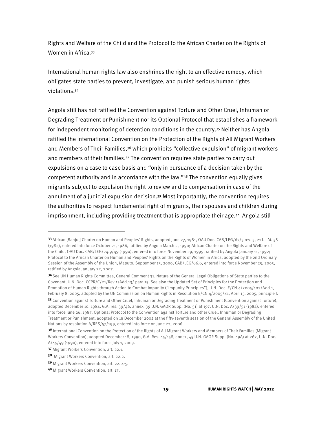Rights and Welfare of the Child and the Protocol to the African Charter on the Rights of Women in Africa.33

International human rights law also enshrines the right to an effective remedy, which obligates state parties to prevent, investigate, and punish serious human rights violations.34

Angola still has not ratified the Convention against Torture and Other Cruel, Inhuman or Degrading Treatment or Punishment nor its Optional Protocol that establishes a framework for independent monitoring of detention conditions in the country.35 Neither has Angola ratified the International Convention on the Protection of the Rights of All Migrant Workers and Members of Their Families,<sup>36</sup> which prohibits "collective expulsion" of migrant workers and members of their families.<sup>37</sup> The convention requires state parties to carry out expulsions on a case to case basis and "only in pursuance of a decision taken by the competent authority and in accordance with the law."38 The convention equally gives migrants subject to expulsion the right to review and to compensation in case of the annulment of a judicial expulsion decision.39 Most importantly, the convention requires the authorities to respect fundamental right of migrants, their spouses and children during imprisonment, including providing treatment that is appropriate their age.<sup>40</sup> Angola still

1

<sup>33</sup> African [Banjul] Charter on Human and Peoples' Rights, adopted June 27, 1981, OAU Doc. CAB/LEG/67/3 rev. 5, 21 I.L.M. 58 (1982), entered into force October 21, 1986, ratified by Angola March 2, 1990; African Charter on the Rights and Welfare of the Child, OAU Doc. CAB/LEG/24.9/49 (1990), entered into force November 29, 1999, ratified by Angola January 11, 1992; Protocol to the African Charter on Human and Peoples' Rights on the Rights of Women in Africa, adopted by the 2nd Ordinary Session of the Assembly of the Union, Maputo, September 13, 2000, CAB/LEG/66.6, entered into force November 25, 2005, ratified by Angola January 22, 2007.

<sup>34</sup> See UN Human Rights Committee, General Comment 31. Nature of the General Legal Obligations of State parties to the Covenant, U.N. Doc. CCPR/C/21/Rev.1/Add.13/ para 15. See also the Updated Set of Principles for the Protection and Promotion of Human Rights through Action to Combat Impunity ("Impunity Principles"), U.N. Doc. E/CN.4/2005/102/Add.1, February 8, 2005, adopted by the UN Commission on Human Rights in Resolution E/CN.4/2005/81, April 15, 2005, principle I.

<sup>35</sup> Convention against Torture and Other Cruel, Inhuman or Degrading Treatment or Punishment (Convention against Torture), adopted December 10, 1984, G.A. res. 39/46, annex, 39 U.N. GAOR Supp. (No. 51) at 197, U.N. Doc. A/39/51 (1984), entered into force June 26, 1987. Optional Protocol to the Convention against Torture and other Cruel, Inhuman or Degrading Treatment or Punishment, adopted on 18 December 2002 at the fifty-seventh session of the General Assembly of the United Nations by resolution A/RES/57/199, entered into force on June 22, 2006.

<sup>3&</sup>lt;sup>6</sup> International Convention on the Protection of the Rights of All Migrant Workers and Members of Their Families (Migrant Workers Convention), adopted December 18, 1990, G.A. Res. 45/158, annex, 45 U.N. GAOR Supp. (No. 49A) at 262, U.N. Doc. A/45/49 (1990), entered into force July 1, 2003.

<sup>37</sup> Migrant Workers Convention, art. 22.1.

<sup>38</sup> Migrant Workers Convention, art. 22.2.

<sup>39</sup> Migrant Workers Convention, art. 22. 4-5.

<sup>40</sup> Migrant Workers Convention, art. 17.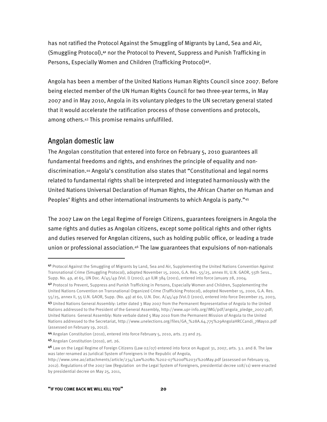has not ratified the Protocol Against the Smuggling of Migrants by Land, Sea and Air, (Smuggling Protocol),41 nor the Protocol to Prevent, Suppress and Punish Trafficking in Persons, Especially Women and Children (Trafficking Protocol)<sup>42</sup>.

Angola has been a member of the United Nations Human Rights Council since 2007. Before being elected member of the UN Human Rights Council for two three-year terms, in May 2007 and in May 2010, Angola in its voluntary pledges to the UN secretary general stated that it would accelerate the ratification process of those conventions and protocols, among others.43 This promise remains unfulfilled.

#### Angolan domestic law

The Angolan constitution that entered into force on February 5, 2010 guarantees all fundamental freedoms and rights, and enshrines the principle of equality and nondiscrimination.44 Angola's constitution also states that "Constitutional and legal norms related to fundamental rights shall be interpreted and integrated harmoniously with the United Nations Universal Declaration of Human Rights, the African Charter on Human and Peoples' Rights and other international instruments to which Angola is party."45

The 2007 Law on the Legal Regime of Foreign Citizens, guarantees foreigners in Angola the same rights and duties as Angolan citizens, except some political rights and other rights and duties reserved for Angolan citizens, such as holding public office, or leading a trade union or professional association.46 The law guarantees that expulsions of non-nationals

-

<sup>41</sup> Protocol Against the Smuggling of Migrants by Land, Sea and Air, Supplementing the United Nations Convention Against Transnational Crime (Smuggling Protocol), adopted November 15, 2000, G.A. Res. 55/25, annex III, U.N. GAOR, 55th Sess., Supp. No. 49, at 65, UN Doc. A/45/49 (Vol. I) (2001); 40 ILM 384 (2001), entered into force January 28, 2004.

<sup>42</sup> Protocol to Prevent, Suppress and Punish Trafficking in Persons, Especially Women and Children, Supplementing the United Nations Convention on Transnational Organized Crime (Trafficking Protocol), adopted November 15, 2000, G.A. Res. 55/25, annex II, 55 U.N. GAOR, Supp. (No. 49) at 60, U.N. Doc. A/45/49 (Vol.I) (2001), entered into force December 25, 2003,

<sup>43</sup> United Nations General Assembly: Letter dated 3 May 2007 from the Permanent Representative of Angola to the United Nations addressed to the President of the General Assembly, http://www.upr-info.org/IMG/pdf/angola\_pledge\_2007.pdf; United Nations General Assembly: Note verbale dated 5 May 2010 from the Permanent Mission of Angola to the United Nations addressed to the Secretariat, http://www.unelections.org/files/GA\_%28A.64.775%29AngolaHRCCandi\_7May10.pdf (assessed on February 19, 2012).

<sup>44</sup> Angolan Constitution (2010), entered into force February 5, 2010, arts. 23 and 25.

<sup>45</sup> Angolan Constitution (2010), art. 26.

<sup>46</sup> Law on the Legal Regime of Foreign Citizens (Law 02/07) entered into force on August 31, 2007, arts. 3.1. and 8. The law was later renamed as Juridical System of Foreigners in the Republic of Angola,

http://www.sme.ao/attachments/article/234/Law%20No.%202-07%20of%2031%20May.pdf (assessed on February 19, 2012). Regulations of the 2007 law (Regulation on the Legal System of Foreigners, presidential decree 108/11) were enacted by presidential decree on May 25, 2011,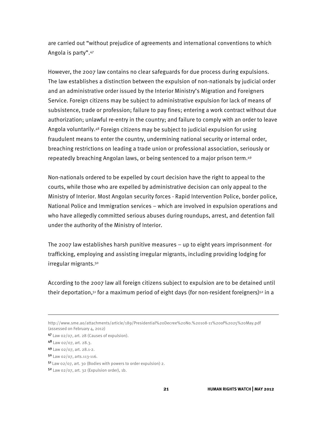are carried out "without prejudice of agreements and international conventions to which Angola is party".47

However, the 2007 law contains no clear safeguards for due process during expulsions. The law establishes a distinction between the expulsion of non-nationals by judicial order and an administrative order issued by the Interior Ministry's Migration and Foreigners Service. Foreign citizens may be subject to administrative expulsion for lack of means of subsistence, trade or profession; failure to pay fines; entering a work contract without due authorization; unlawful re-entry in the country; and failure to comply with an order to leave Angola voluntarily.48 Foreign citizens may be subject to judicial expulsion for using fraudulent means to enter the country, undermining national security or internal order, breaching restrictions on leading a trade union or professional association, seriously or repeatedly breaching Angolan laws, or being sentenced to a major prison term.49

Non-nationals ordered to be expelled by court decision have the right to appeal to the courts, while those who are expelled by administrative decision can only appeal to the Ministry of Interior. Most Angolan security forces - Rapid Intervention Police, border police, National Police and Immigration services – which are involved in expulsion operations and who have allegedly committed serious abuses during roundups, arrest, and detention fall under the authority of the Ministry of Interior.

The 2007 law establishes harsh punitive measures – up to eight years imprisonment -for trafficking, employing and assisting irregular migrants, including providing lodging for irregular migrants.<sup>50</sup>

According to the 2007 law all foreign citizens subject to expulsion are to be detained until their deportation, $51$  for a maximum period of eight days (for non-resident foreigners) $52$  in a

 $\overline{a}$ 

<sup>50</sup> Law 02/07, arts.113-116.

http://www.sme.ao/attachments/article/189/Presidential%20Decree%20No.%20108-11%20of%2025%20May.pdf (assessed on February 4, 2012)

<sup>47</sup> Law 02/07, art. 28 (Causes of expulsion).

<sup>48</sup> Law 02/07, art. 28.3.

<sup>49</sup> Law 02/07, art. 28.1-2.

<sup>51</sup>Law 02/07, art. 30 (Bodies with powers to order expulsion) 2.

 $5<sup>2</sup>$  Law 02/07, art. 32 (Expulsion order), 1b.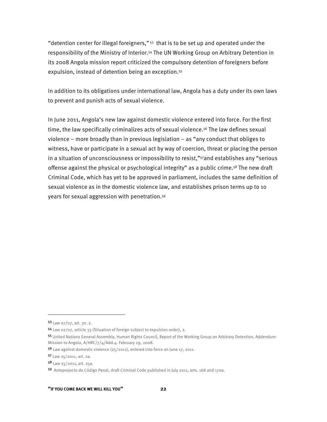"detention center for illegal foreigners," 53 that is to be set up and operated under the responsibility of the Ministry of Interior.54 The UN Working Group on Arbitrary Detention in its 2008 Angola mission report criticized the compulsory detention of foreigners before expulsion, instead of detention being an exception.55

In addition to its obligations under international law, Angola has a duty under its own laws to prevent and punish acts of sexual violence.

In June 2011, Angola's new law against domestic violence entered into force. For the first time, the law specifically criminalizes acts of sexual violence.56 The law defines sexual violence – more broadly than in previous legislation – as "any conduct that obliges to witness, have or participate in a sexual act by way of coercion, threat or placing the person in a situation of unconsciousness or impossibility to resist,"<sup>57</sup>and establishes any "serious offense against the physical or psychological integrity" as a public crime.<sup>58</sup> The new draft Criminal Code, which has yet to be approved in parliament, includes the same definition of sexual violence as in the domestic violence law, and establishes prison terms up to 10 years for sexual aggression with penetration.59

1

<sup>53</sup> Law 07/07, art. 30. 2.

<sup>54</sup> Law 02/07, article 33 (Situation of foreign subject to expulsion order), 2.

<sup>55</sup> United Nations General Assembly, Human Rights Council, Report of the Working Group on Arbitrary Detention, Addendum-Mission to Angola, A/HRC/7/4/Add.4. February 29, 2008.

<sup>56</sup> Law against domestic violence (25/2011), entered into force on June 17, 2011.

<sup>57</sup> Law 25/2011, art. 2a.

<sup>58</sup> Law 25/2011, art. 25a.

<sup>59</sup> Anteprojecto do Código Penal, draft Criminal Code published in July 2011, arts. 168 and 170a.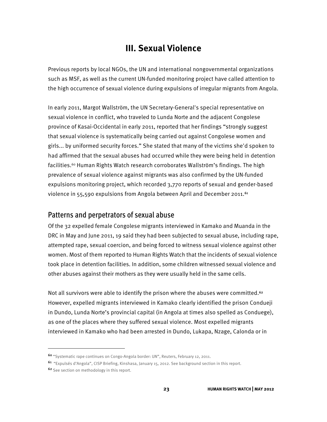## **III. Sexual Violence**

Previous reports by local NGOs, the UN and international nongovernmental organizations such as MSF, as well as the current UN-funded monitoring project have called attention to the high occurrence of sexual violence during expulsions of irregular migrants from Angola.

In early 2011, Margot Wallström, the UN Secretary-General's special representative on sexual violence in conflict, who traveled to Lunda Norte and the adjacent Congolese province of Kasai-Occidental in early 2011, reported that her findings "strongly suggest that sexual violence is systematically being carried out against Congolese women and girls... by uniformed security forces." She stated that many of the victims she'd spoken to had affirmed that the sexual abuses had occurred while they were being held in detention facilities.60 Human Rights Watch research corroborates Wallström's findings. The high prevalence of sexual violence against migrants was also confirmed by the UN-funded expulsions monitoring project, which recorded 3,770 reports of sexual and gender-based violence in 55,590 expulsions from Angola between April and December 2011.<sup>61</sup>

#### Patterns and perpetrators of sexual abuse

Of the 32 expelled female Congolese migrants interviewed in Kamako and Muanda in the DRC in May and June 2011, 19 said they had been subjected to sexual abuse, including rape, attempted rape, sexual coercion, and being forced to witness sexual violence against other women. Most of them reported to Human Rights Watch that the incidents of sexual violence took place in detention facilities. In addition, some children witnessed sexual violence and other abuses against their mothers as they were usually held in the same cells.

Not all survivors were able to identify the prison where the abuses were committed.<sup>62</sup> However, expelled migrants interviewed in Kamako clearly identified the prison Condueji in Dundo, Lunda Norte's provincial capital (in Angola at times also spelled as Conduege), as one of the places where they suffered sexual violence. Most expelled migrants interviewed in Kamako who had been arrested in Dundo, Lukapa, Nzage, Calonda or in

<sup>60</sup> "Systematic rape continues on Congo-Angola border: UN", Reuters, February 12, 2011.

<sup>61</sup> "Expulsés d'Angola", CISP Briefing, Kinshasa, January 15, 2012. See background section in this report.

<sup>62</sup> See section on methodology in this report.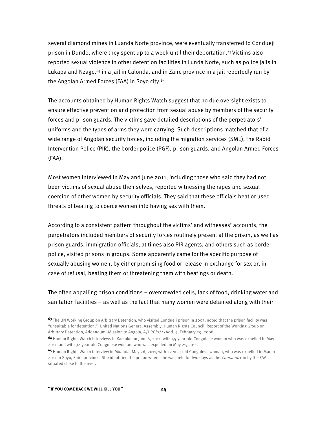several diamond mines in Luanda Norte province, were eventually transferred to Condueji prison in Dundo, where they spent up to a week until their deportation.<sup>63</sup> Victims also reported sexual violence in other detention facilities in Lunda Norte, such as police jails in Lukapa and Nzage,<sup>64</sup> in a jail in Calonda, and in Zaire province in a jail reportedly run by the Angolan Armed Forces (FAA) in Soyo city.65

The accounts obtained by Human Rights Watch suggest that no due oversight exists to ensure effective prevention and protection from sexual abuse by members of the security forces and prison guards. The victims gave detailed descriptions of the perpetrators' uniforms and the types of arms they were carrying. Such descriptions matched that of a wide range of Angolan security forces, including the migration services (SME), the Rapid Intervention Police (PIR), the border police (PGF), prison guards, and Angolan Armed Forces (FAA).

Most women interviewed in May and June 2011, including those who said they had not been victims of sexual abuse themselves, reported witnessing the rapes and sexual coercion of other women by security officials. They said that these officials beat or used threats of beating to coerce women into having sex with them.

According to a consistent pattern throughout the victims' and witnesses' accounts, the perpetrators included members of security forces routinely present at the prison, as well as prison guards, immigration officials, at times also PIR agents, and others such as border police, visited prisons in groups. Some apparently came for the specific purpose of sexually abusing women, by either promising food or release in exchange for sex or, in case of refusal, beating them or threatening them with beatings or death.

The often appalling prison conditions – overcrowded cells, lack of food, drinking water and sanitation facilities – as well as the fact that many women were detained along with their

-

<sup>63</sup> The UN Working Group on Arbitrary Detention, who visited Condueji prison in 2007, noted that the prison facility was "unsuitable for detention." United Nations General Assembly, Human Rights Council: Report of the Working Group on Arbitrary Detention, Addendum–Mission to Angola, A/HRC/7/4/Add. 4, February 29, 2008.

<sup>64</sup> Human Rights Watch interviews in Kamako on June 6, 2011, with 45-year-old Congolese woman who was expelled in May 2011, and with 32-year-old Congolese woman, who was expelled on May 21, 2011.

<sup>65</sup> Human Rights Watch interview in Muanda, May 26, 2011, with 22-year-old Congolese woman, who was expelled in March 2011 in Soyo, Zaire province. She identified the prison where she was held for two days as the *Comando* run by the FAA, situated close to the river.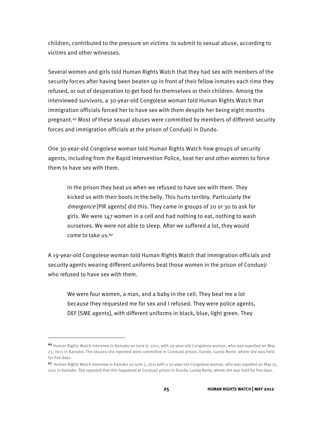children, contributed to the pressure on victims to submit to sexual abuse, according to victims and other witnesses.

Several women and girls told Human Rights Watch that they had sex with members of the security forces after having been beaten up in front of their fellow inmates each time they refused, or out of desperation to get food for themselves or their children. Among the interviewed survivors, a 30-year-old Congolese woman told Human Rights Watch that immigration officials forced her to have sex with them despite her being eight months pregnant.<sup>66</sup> Most of these sexual abuses were committed by members of different security forces and immigration officials at the prison of Condueji in Dundo.

One 30-year-old Congolese woman told Human Rights Watch how groups of security agents, including from the Rapid Intervention Police, beat her and other women to force them to have sex with them.

In the prison they beat us when we refused to have sex with them. They kicked us with their boots in the belly. This hurts terribly. Particularly the émergence [PIR agents] did this. They came in groups of 20 or 30 to ask for girls. We were 147 women in a cell and had nothing to eat, nothing to wash ourselves. We were not able to sleep. After we suffered a lot, they would come to take us.<sup>67</sup>

A 19-year-old Congolese woman told Human Rights Watch that immigration officials and security agents wearing different uniforms beat those women in the prison of Condueji who refused to have sex with them.

We were four women, a man, and a baby in the cell. They beat me a lot because they requested me for sex and I refused. They were police agents, DEF [SME agents], with different uniforms in black, blue, light green. They

-

<sup>66</sup> Human Rights Watch interview in Kamako on June 6, 2011, with 29-year-old Congolese woman, who was expelled on May 25, 2011 in Kamako. The abuses she reported were committed in Condueji prison, Dundo, Lunda Norte, where she was held for five days.

<sup>67</sup> Human Rights Watch interview in Kamako on June 7, 2011 with a 30-year-old Congolese woman, who was expelled on May 15, 2011 in Kamako. She reported that this happened at Condueji prison in Dundo, Lunda Norte, where she was held for five days.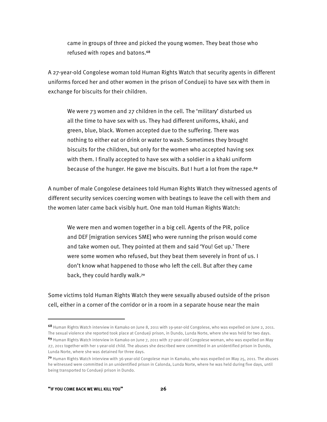came in groups of three and picked the young women. They beat those who refused with ropes and batons.<sup>68</sup>

A 27-year-old Congolese woman told Human Rights Watch that security agents in different uniforms forced her and other women in the prison of Condueji to have sex with them in exchange for biscuits for their children.

We were 73 women and 27 children in the cell. The 'military' disturbed us all the time to have sex with us. They had different uniforms, khaki, and green, blue, black. Women accepted due to the suffering. There was nothing to either eat or drink or water to wash. Sometimes they brought biscuits for the children, but only for the women who accepted having sex with them. I finally accepted to have sex with a soldier in a khaki uniform because of the hunger. He gave me biscuits. But I hurt a lot from the rape.69

A number of male Congolese detainees told Human Rights Watch they witnessed agents of different security services coercing women with beatings to leave the cell with them and the women later came back visibly hurt. One man told Human Rights Watch:

We were men and women together in a big cell. Agents of the PIR, police and DEF [migration services SME] who were running the prison would come and take women out. They pointed at them and said 'You! Get up.' There were some women who refused, but they beat them severely in front of us. I don't know what happened to those who left the cell. But after they came back, they could hardly walk.70

Some victims told Human Rights Watch they were sexually abused outside of the prison cell, either in a corner of the corridor or in a room in a separate house near the main

<sup>68</sup> Human Rights Watch interview in Kamako on June 8, 2011 with 19-year-old Congolese, who was expelled on June 2, 2011. The sexual violence she reported took place at Condueji prison, in Dundo, Lunda Norte, where she was held for two days.

<sup>69</sup> Human Rights Watch interview in Kamako on June 7, 2011 with 27-year-old Congolese woman, who was expelled on May 27, 2011 together with her 1-year-old child. The abuses she described were committed in an unidentified prison in Dundo, Lunda Norte, where she was detained for three days.

<sup>70</sup> Human Rights Watch interview with 36-year-old Congolese man in Kamako, who was expelled on May 25, 2011. The abuses he witnessed were committed in an unidentified prison in Calonda, Lunda Norte, where he was held during five days, until being transported to Condueji prison in Dundo.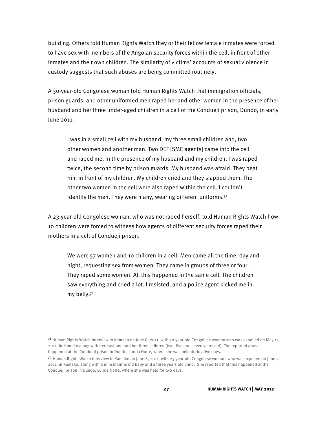building. Others told Human Rights Watch they or their fellow female inmates were forced to have sex with members of the Angolan security forces within the cell, in front of other inmates and their own children. The similarity of victims' accounts of sexual violence in custody suggests that such abuses are being committed routinely.

A 30-year-old Congolese woman told Human Rights Watch that immigration officials, prison guards, and other uniformed men raped her and other women in the presence of her husband and her three under-aged children in a cell of the Condueji prison, Dundo, in early June 2011.

I was in a small cell with my husband, my three small children and, two other women and another man. Two DEF [SME agents] came into the cell and raped me, in the presence of my husband and my children. I was raped twice, the second time by prison guards. My husband was afraid. They beat him in front of my children. My children cried and they slapped them. The other two women in the cell were also raped within the cell. I couldn't identify the men. They were many, wearing different uniforms.<sup>71</sup>

A 23-year-old Congolese woman, who was not raped herself, told Human Rights Watch how 10 children were forced to witness how agents of different security forces raped their mothers in a cell of Condueji prison.

We were 57 women and 10 children in a cell. Men came all the time, day and night, requesting sex from women. They came in groups of three or four. They raped some women. All this happened in the same cell. The children saw everything and cried a lot. I resisted, and a police agent kicked me in my belly.72

<sup>71</sup> Human Rights Watch interview in Kamako on June 6, 2011, with 30-year-old Congolese woman who was expelled on May 15, 2011, in Kamako along with her husband and her three children (two, five and seven years old). The reported abuses happened at the Condueji prison in Dundo, Lunda Norte, where she was held during five days.

 $72$  Human Rights Watch interview in Kamako on June 6, 2011, with 23-year-old Congolese woman who was expelled on June 2, 2011, in Kamako, along with a nine months old baby and a three years old child. She reported that this happened at the Condueji prison in Dundo, Lunda Norte, where she was held for two days.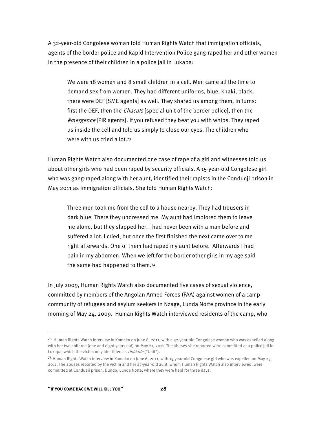A 32-year-old Congolese woman told Human Rights Watch that immigration officials, agents of the border police and Rapid Intervention Police gang-raped her and other women in the presence of their children in a police jail in Lukapa:

We were 18 women and 8 small children in a cell. Men came all the time to demand sex from women. They had different uniforms, blue, khaki, black, there were DEF [SME agents] as well. They shared us among them, in turns: first the DEF, then the *Chacals* [special unit of the border police], then the émergence [PIR agents]. If you refused they beat you with whips. They raped us inside the cell and told us simply to close our eyes. The children who were with us cried a lot.73

Human Rights Watch also documented one case of rape of a girl and witnesses told us about other girls who had been raped by security officials. A 15-year-old Congolese girl who was gang-raped along with her aunt, identified their rapists in the Condueji prison in May 2011 as immigration officials. She told Human Rights Watch:

Three men took me from the cell to a house nearby. They had trousers in dark blue. There they undressed me. My aunt had implored them to leave me alone, but they slapped her. I had never been with a man before and suffered a lot. I cried, but once the first finished the next came over to me right afterwards. One of them had raped my aunt before. Afterwards I had pain in my abdomen. When we left for the border other girls in my age said the same had happened to them.74

In July 2009, Human Rights Watch also documented five cases of sexual violence, committed by members of the Angolan Armed Forces (FAA) against women of a camp community of refugees and asylum seekers in Nzage, Lunda Norte province in the early morning of May 24, 2009. Human Rights Watch interviewed residents of the camp, who

<sup>73</sup> Human Rights Watch interview in Kamako on June 6, 2011, with a 32-year-old Congolese woman who was expelled along with her two children (one and eight years old) on May 21, 2011. The abuses she reported were committed at a police jail in Lukapa, which the victim only identified as *Unidade* ("Unit").

<sup>74</sup> Human Rights Watch interview in Kamako on June 6, 2011, with 15-year-old Congolese girl who was expelled on May 25, 2011. The abuses reported by the victim and her 27-year-old aunt, whom Human Rights Watch also interviewed, were committed at Condueji prison, Dundo, Lunda Norte, where they were held for three days.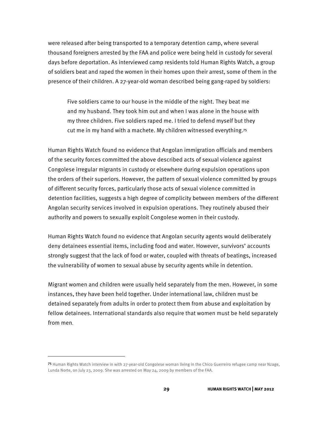were released after being transported to a temporary detention camp, where several thousand foreigners arrested by the FAA and police were being held in custody for several days before deportation. As interviewed camp residents told Human Rights Watch, a group of soldiers beat and raped the women in their homes upon their arrest, some of them in the presence of their children. A 27-year-old woman described being gang-raped by soldiers:

Five soldiers came to our house in the middle of the night. They beat me and my husband. They took him out and when I was alone in the house with my three children. Five soldiers raped me. I tried to defend myself but they cut me in my hand with a machete. My children witnessed everything.75

Human Rights Watch found no evidence that Angolan immigration officials and members of the security forces committed the above described acts of sexual violence against Congolese irregular migrants in custody or elsewhere during expulsion operations upon the orders of their superiors. However, the pattern of sexual violence committed by groups of different security forces, particularly those acts of sexual violence committed in detention facilities, suggests a high degree of complicity between members of the different Angolan security services involved in expulsion operations. They routinely abused their authority and powers to sexually exploit Congolese women in their custody.

Human Rights Watch found no evidence that Angolan security agents would deliberately deny detainees essential items, including food and water. However, survivors' accounts strongly suggest that the lack of food or water, coupled with threats of beatings, increased the vulnerability of women to sexual abuse by security agents while in detention.

Migrant women and children were usually held separately from the men. However, in some instances, they have been held together. Under international law, children must be detained separately from adults in order to protect them from abuse and exploitation by fellow detainees. International standards also require that women must be held separately from men.

<sup>75</sup> Human Rights Watch interview in with 27-year-old Congolese woman living in the Chico Guerreiro refugee camp near Nzage, Lunda Norte, on July 23, 2009. She was arrested on May 24, 2009 by members of the FAA.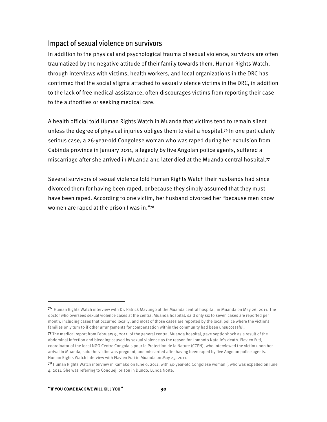#### Impact of sexual violence on survivors

In addition to the physical and psychological trauma of sexual violence, survivors are often traumatized by the negative attitude of their family towards them. Human Rights Watch, through interviews with victims, health workers, and local organizations in the DRC has confirmed that the social stigma attached to sexual violence victims in the DRC, in addition to the lack of free medical assistance, often discourages victims from reporting their case to the authorities or seeking medical care.

A health official told Human Rights Watch in Muanda that victims tend to remain silent unless the degree of physical injuries obliges them to visit a hospital.76 In one particularly serious case, a 26-year-old Congolese woman who was raped during her expulsion from Cabinda province in January 2011, allegedly by five Angolan police agents, suffered a miscarriage after she arrived in Muanda and later died at the Muanda central hospital.<sup>77</sup>

Several survivors of sexual violence told Human Rights Watch their husbands had since divorced them for having been raped, or because they simply assumed that they must have been raped. According to one victim, her husband divorced her "because men know women are raped at the prison I was in."78

<sup>76</sup> Human Rights Watch interview with Dr. Patrick Mavungo at the Muanda central hospital, in Muanda on May 26, 2011. The doctor who oversees sexual violence cases at the central Muanda hospital, said only six to seven cases are reported per month, including cases that occurred locally, and most of those cases are reported by the local police where the victim's families only turn to if other arrangements for compensation within the community had been unsuccessful.

<sup>77</sup> The medical report from February 9, 2011, of the general central Muanda hospital, gave septic shock as a result of the abdominal infection and bleeding caused by sexual violence as the reason for Lomboto Natalie's death. Flavien Futi, coordinator of the local NGO Centre Congolais pour la Protection de la Nature (CCPN), who interviewed the victim upon her arrival in Muanda, said the victim was pregnant, and miscarried after having been raped by five Angolan police agents. Human Rights Watch interview with Flavien Futi in Muanda on May 25, 2011.

<sup>78</sup> Human Rights Watch interview in Kamako on June 6, 2011, with 40-year-old Congolese woman [, who was expelled on June 4, 2011. She was referring to Condueji prison in Dundo, Lunda Norte.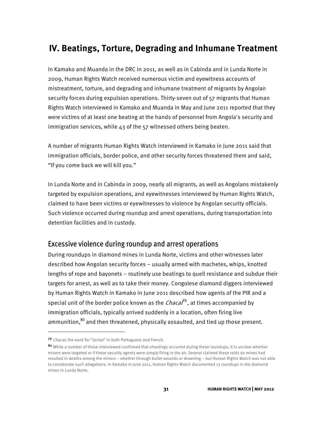## **IV. Beatings, Torture, Degrading and Inhumane Treatment**

In Kamako and Muanda in the DRC in 2011, as well as in Cabinda and in Lunda Norte in 2009, Human Rights Watch received numerous victim and eyewitness accounts of mistreatment, torture, and degrading and inhumane treatment of migrants by Angolan security forces during expulsion operations. Thirty-seven out of 57 migrants that Human Rights Watch interviewed in Kamako and Muanda in May and June 2011 reported that they were victims of at least one beating at the hands of personnel from Angola's security and immigration services, while 43 of the 57 witnessed others being beaten.

A number of migrants Human Rights Watch interviewed in Kamako in June 2011 said that immigration officials, border police, and other security forces threatened them and said, "If you come back we will kill you."

In Lunda Norte and in Cabinda in 2009, nearly all migrants, as well as Angolans mistakenly targeted by expulsion operations, and eyewitnesses interviewed by Human Rights Watch, claimed to have been victims or eyewitnesses to violence by Angolan security officials. Such violence occurred during roundup and arrest operations, during transportation into detention facilities and in custody.

#### Excessive violence during roundup and arrest operations

During roundups in diamond mines in Lunda Norte, victims and other witnesses later described how Angolan security forces – usually armed with machetes, whips, knotted lengths of rope and bayonets – routinely use beatings to quell resistance and subdue their targets for arrest, as well as to take their money. Congolese diamond diggers interviewed by Human Rights Watch in Kamako in June 2011 described how agents of the PIR and a special unit of the border police known as the  $Chaca^7$ <sup>9</sup>, at times accompanied by immigration officials, typically arrived suddenly in a location, often firing live ammunition,<sup>80</sup> and then threatened, physically assaulted, and tied up those present.

<sup>79</sup> Chacal, the word for "Jackal" in both Portuguese and French.

<sup>80</sup> While a number of those interviewed confirmed that shootings occurred during these roundups, it is unclear whether miners were targeted or if these security agents were simply firing in the air. Several claimed these raids on mines had resulted in deaths among the miners – whether through bullet wounds or drowning – but Human Rights Watch was not able to corroborate such allegations. In Kamako in June 2011, Human Rights Watch documented 13 roundups in the diamond mines in Lunda Norte.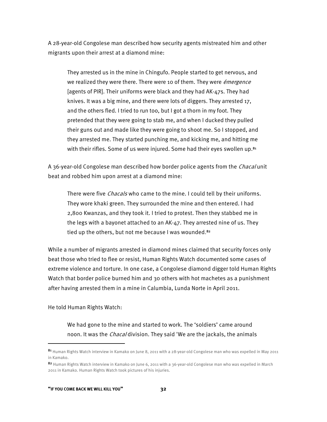A 28-year-old Congolese man described how security agents mistreated him and other migrants upon their arrest at a diamond mine:

They arrested us in the mine in Chingufo. People started to get nervous, and we realized they were there. There were 10 of them. They were *émergence* [agents of PIR]. Their uniforms were black and they had AK-47s. They had knives. It was a big mine, and there were lots of diggers. They arrested 17, and the others fled. I tried to run too, but I got a thorn in my foot. They pretended that they were going to stab me, and when I ducked they pulled their guns out and made like they were going to shoot me. So I stopped, and they arrested me. They started punching me, and kicking me, and hitting me with their rifles. Some of us were injured. Some had their eyes swollen up.<sup>81</sup>

A 36-year-old Congolese man described how border police agents from the *Chacal* unit beat and robbed him upon arrest at a diamond mine:

There were five *Chacals* who came to the mine. I could tell by their uniforms. They wore khaki green. They surrounded the mine and then entered. I had 2,800 Kwanzas, and they took it. I tried to protest. Then they stabbed me in the legs with a bayonet attached to an AK-47. They arrested nine of us. They tied up the others, but not me because I was wounded.<sup>82</sup>

While a number of migrants arrested in diamond mines claimed that security forces only beat those who tried to flee or resist, Human Rights Watch documented some cases of extreme violence and torture. In one case, a Congolese diamond digger told Human Rights Watch that border police burned him and 30 others with hot machetes as a punishment after having arrested them in a mine in Calumbia, Lunda Norte in April 2011.

He told Human Rights Watch:

1

We had gone to the mine and started to work. The 'soldiers' came around noon. It was the *Chacal* division. They said 'We are the jackals, the animals

<sup>81</sup> Human Rights Watch interview in Kamako on June 8, 2011 with a 28-year-old Congolese man who was expelled in May 2011 in Kamako.

<sup>82</sup> Human Rights Watch interview in Kamako on June 6, 2011 with a 36-year-old Congolese man who was expelled in March 2011 in Kamako. Human Rights Watch took pictures of his injuries.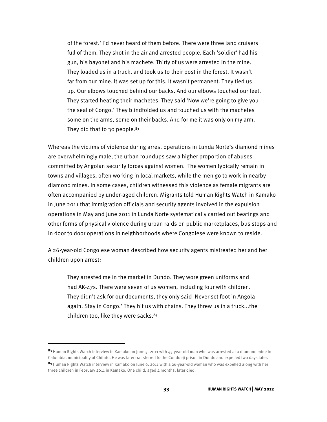of the forest.' I'd never heard of them before. There were three land cruisers full of them. They shot in the air and arrested people. Each 'soldier' had his gun, his bayonet and his machete. Thirty of us were arrested in the mine. They loaded us in a truck, and took us to their post in the forest. It wasn't far from our mine. It was set up for this. It wasn't permanent. They tied us up. Our elbows touched behind our backs. And our elbows touched our feet. They started heating their machetes. They said 'Now we're going to give you the seal of Congo.' They blindfolded us and touched us with the machetes some on the arms, some on their backs. And for me it was only on my arm. They did that to 30 people. $83$ 

Whereas the victims of violence during arrest operations in Lunda Norte's diamond mines are overwhelmingly male, the urban roundups saw a higher proportion of abuses committed by Angolan security forces against women. The women typically remain in towns and villages, often working in local markets, while the men go to work in nearby diamond mines. In some cases, children witnessed this violence as female migrants are often accompanied by under-aged children. Migrants told Human Rights Watch in Kamako in June 2011 that immigration officials and security agents involved in the expulsion operations in May and June 2011 in Lunda Norte systematically carried out beatings and other forms of physical violence during urban raids on public marketplaces, bus stops and in door to door operations in neighborhoods where Congolese were known to reside.

A 26-year-old Congolese woman described how security agents mistreated her and her children upon arrest:

They arrested me in the market in Dundo. They wore green uniforms and had AK-47s. There were seven of us women, including four with children. They didn't ask for our documents, they only said 'Never set foot in Angola again. Stay in Congo.' They hit us with chains. They threw us in a truck...the children too, like they were sacks.84

1

<sup>83</sup> Human Rights Watch interview in Kamako on June 5, 2011 with 45-year-old man who was arrested at a diamond mine in Calumbia, municipality of Chitato. He was later transferred to the Condueji prison in Dundo and expelled two days later.

<sup>84</sup> Human Rights Watch interview in Kamako on June 6, 2011 with a 26-year-old woman who was expelled along with her three children in February 2011 in Kamako. One child, aged 4 months, later died.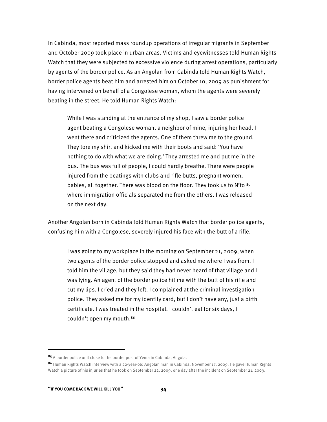In Cabinda, most reported mass roundup operations of irregular migrants in September and October 2009 took place in urban areas. Victims and eyewitnesses told Human Rights Watch that they were subjected to excessive violence during arrest operations, particularly by agents of the border police. As an Angolan from Cabinda told Human Rights Watch, border police agents beat him and arrested him on October 10, 2009 as punishment for having intervened on behalf of a Congolese woman, whom the agents were severely beating in the street. He told Human Rights Watch:

While I was standing at the entrance of my shop, I saw a border police agent beating a Congolese woman, a neighbor of mine, injuring her head. I went there and criticized the agents. One of them threw me to the ground. They tore my shirt and kicked me with their boots and said: 'You have nothing to do with what we are doing.' They arrested me and put me in the bus. The bus was full of people, I could hardly breathe. There were people injured from the beatings with clubs and rifle butts, pregnant women, babies, all together. There was blood on the floor. They took us to N'to 85 where immigration officials separated me from the others. I was released on the next day.

Another Angolan born in Cabinda told Human Rights Watch that border police agents, confusing him with a Congolese, severely injured his face with the butt of a rifle.

I was going to my workplace in the morning on September 21, 2009, when two agents of the border police stopped and asked me where I was from. I told him the village, but they said they had never heard of that village and I was lying. An agent of the border police hit me with the butt of his rifle and cut my lips. I cried and they left. I complained at the criminal investigation police. They asked me for my identity card, but I don't have any, just a birth certificate. I was treated in the hospital. I couldn't eat for six days, I couldn't open my mouth.<sup>86</sup>

<sup>85</sup> A border police unit close to the border post of Yema in Cabinda, Angola.

<sup>86</sup> Human Rights Watch interview with a 22-year-old Angolan man in Cabinda, November 17, 2009. He gave Human Rights Watch a picture of his injuries that he took on September 22, 2009, one day after the incident on September 21, 2009.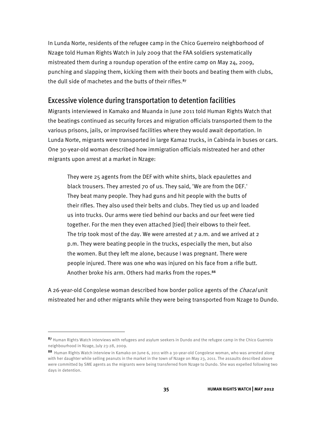In Lunda Norte, residents of the refugee camp in the Chico Guerreiro neighborhood of Nzage told Human Rights Watch in July 2009 that the FAA soldiers systematically mistreated them during a roundup operation of the entire camp on May 24, 2009, punching and slapping them, kicking them with their boots and beating them with clubs, the dull side of machetes and the butts of their rifles.<sup>87</sup>

#### Excessive violence during transportation to detention facilities

Migrants interviewed in Kamako and Muanda in June 2011 told Human Rights Watch that the beatings continued as security forces and migration officials transported them to the various prisons, jails, or improvised facilities where they would await deportation. In Lunda Norte, migrants were transported in large Kamaz trucks, in Cabinda in buses or cars. One 30-year-old woman described how immigration officials mistreated her and other migrants upon arrest at a market in Nzage:

They were 25 agents from the DEF with white shirts, black epaulettes and black trousers. They arrested 70 of us. They said, 'We are from the DEF.' They beat many people. They had guns and hit people with the butts of their rifles. They also used their belts and clubs. They tied us up and loaded us into trucks. Our arms were tied behind our backs and our feet were tied together. For the men they even attached [tied] their elbows to their feet. The trip took most of the day. We were arrested at  $7$  a.m. and we arrived at  $2$ p.m. They were beating people in the trucks, especially the men, but also the women. But they left me alone, because I was pregnant. There were people injured. There was one who was injured on his face from a rifle butt. Another broke his arm. Others had marks from the ropes.<sup>88</sup>

A 26-year-old Congolese woman described how border police agents of the *Chacal* unit mistreated her and other migrants while they were being transported from Nzage to Dundo.

-

<sup>87</sup> Human Rights Watch interviews with refugees and asylum seekers in Dundo and the refugee camp in the Chico Guerreio neighbourhood in Nzage, July 23-28, 2009.

<sup>88</sup> Human Rights Watch interview in Kamako on June 6, 2011 with a 30-year-old Congolese woman, who was arrested along with her daughter while selling peanuts in the market in the town of Nzage on May 23, 2011. The assaults described above were committed by SME agents as the migrants were being transferred from Nzage to Dundo. She was expelled following two days in detention.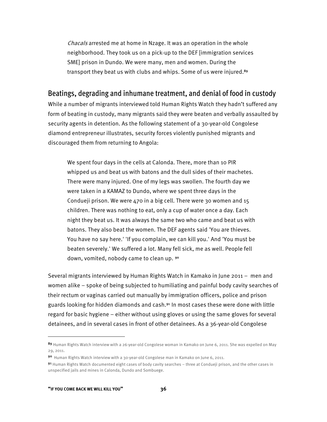Chacals arrested me at home in Nzage. It was an operation in the whole neighborhood. They took us on a pick-up to the DEF [immigration services SME] prison in Dundo. We were many, men and women. During the transport they beat us with clubs and whips. Some of us were injured.89

#### Beatings, degrading and inhumane treatment, and denial of food in custody

While a number of migrants interviewed told Human Rights Watch they hadn't suffered any form of beating in custody, many migrants said they were beaten and verbally assaulted by security agents in detention. As the following statement of a 30-year-old Congolese diamond entrepreneur illustrates, security forces violently punished migrants and discouraged them from returning to Angola:

We spent four days in the cells at Calonda. There, more than 10 PIR whipped us and beat us with batons and the dull sides of their machetes. There were many injured. One of my legs was swollen. The fourth day we were taken in a KAMAZ to Dundo, where we spent three days in the Condueji prison. We were 470 in a big cell. There were 30 women and 15 children. There was nothing to eat, only a cup of water once a day. Each night they beat us. It was always the same two who came and beat us with batons. They also beat the women. The DEF agents said 'You are thieves. You have no say here.' 'If you complain, we can kill you.' And 'You must be beaten severely.' We suffered a lot. Many fell sick, me as well. People fell down, vomited, nobody came to clean up. <sup>90</sup>

Several migrants interviewed by Human Rights Watch in Kamako in June 2011 – men and women alike – spoke of being subjected to humiliating and painful body cavity searches of their rectum or vaginas carried out manually by immigration officers, police and prison guards looking for hidden diamonds and cash.<sup>91</sup> In most cases these were done with little regard for basic hygiene – either without using gloves or using the same gloves for several detainees, and in several cases in front of other detainees. As a 36-year-old Congolese

-

<sup>89</sup> Human Rights Watch interview with a 26-year-old Congolese woman in Kamako on June 6, 2011. She was expelled on May 29, 2011.

<sup>90</sup> Human Rights Watch interview with a 30-year-old Congolese man in Kamako on June 6, 2011.

<sup>91</sup> Human Rights Watch documented eight cases of body cavity searches – three at Condueii prison, and the other cases in unspecified jails and mines in Calonda, Dundo and Sombuege.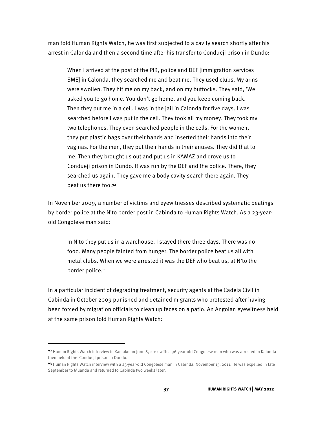man told Human Rights Watch, he was first subjected to a cavity search shortly after his arrest in Calonda and then a second time after his transfer to Condueji prison in Dundo:

When I arrived at the post of the PIR, police and DEF [immigration services SME] in Calonda, they searched me and beat me. They used clubs. My arms were swollen. They hit me on my back, and on my buttocks. They said, 'We asked you to go home. You don't go home, and you keep coming back. Then they put me in a cell. I was in the jail in Calonda for five days. I was searched before I was put in the cell. They took all my money. They took my two telephones. They even searched people in the cells. For the women, they put plastic bags over their hands and inserted their hands into their vaginas. For the men, they put their hands in their anuses. They did that to me. Then they brought us out and put us in KAMAZ and drove us to Condueji prison in Dundo. It was run by the DEF and the police. There, they searched us again. They gave me a body cavity search there again. They beat us there too.92

In November 2009, a number of victims and eyewitnesses described systematic beatings by border police at the N'to border post in Cabinda to Human Rights Watch. As a 23-yearold Congolese man said:

In N'to they put us in a warehouse. I stayed there three days. There was no food. Many people fainted from hunger. The border police beat us all with metal clubs. When we were arrested it was the DEF who beat us, at N'to the border police.93

In a particular incident of degrading treatment, security agents at the Cadeia Civil in Cabinda in October 2009 punished and detained migrants who protested after having been forced by migration officials to clean up feces on a patio. An Angolan eyewitness held at the same prison told Human Rights Watch:

1

<sup>92</sup> Human Rights Watch interview in Kamako on June 8, 2011 with a 36-year-old Congolese man who was arrested in Kalonda then held at the Condueji prison in Dundo.

<sup>93</sup> Human Rights Watch interview with a 23-year-old Congolese man in Cabinda, November 15, 2011. He was expelled in late September to Muanda and returned to Cabinda two weeks later.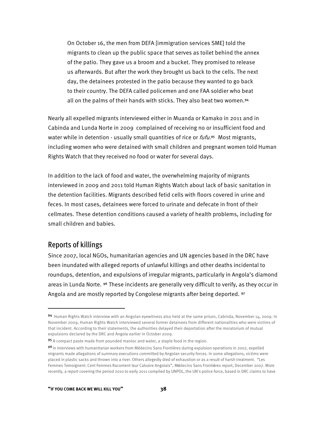On October 16, the men from DEFA [immigration services SME] told the migrants to clean up the public space that serves as toilet behind the annex of the patio. They gave us a broom and a bucket. They promised to release us afterwards. But after the work they brought us back to the cells. The next day, the detainees protested in the patio because they wanted to go back to their country. The DEFA called policemen and one FAA soldier who beat all on the palms of their hands with sticks. They also beat two women.94

Nearly all expelled migrants interviewed either in Muanda or Kamako in 2011 and in Cabinda and Lunda Norte in 2009 complained of receiving no or insufficient food and water while in detention - usually small quantities of rice or *fufu*.<sup>95</sup> Most migrants, including women who were detained with small children and pregnant women told Human Rights Watch that they received no food or water for several days.

In addition to the lack of food and water, the overwhelming majority of migrants interviewed in 2009 and 2011 told Human Rights Watch about lack of basic sanitation in the detention facilities. Migrants described fetid cells with floors covered in urine and feces. In most cases, detainees were forced to urinate and defecate in front of their cellmates. These detention conditions caused a variety of health problems, including for small children and babies.

#### Reports of killings

1

Since 2007, local NGOs, humanitarian agencies and UN agencies based in the DRC have been inundated with alleged reports of unlawful killings and other deaths incidental to roundups, detention, and expulsions of irregular migrants, particularly in Angola's diamond areas in Lunda Norte. <sup>96</sup> These incidents are generally very difficult to verify, as they occur in Angola and are mostly reported by Congolese migrants after being deported. 97

<sup>94</sup> Human Rights Watch interview with an Angolan eyewitness also held at the same prison, Cabinda, November 14, 2009. In November 2009, Human Rights Watch interviewed several former detainees from different nationalities who were victims of that incident. According to their statements, the authorities delayed their deportation after the moratorium of mutual expulsions declared by the DRC and Angola earlier in October 2009.

<sup>95</sup> A compact paste made from pounded manioc and water, a staple food in the region.

<sup>9&</sup>lt;sup>6</sup> In interviews with humanitarian workers from Médecins Sans Frontières during expulsion operations in 2007, expelled migrants made allegations of summary executions committed by Angolan security forces. In some allegations, victims were placed in plastic sacks and thrown into a river. Others allegedly died of exhaustion or as a result of harsh treatment. "Les Femmes Temoignent: Cent Femmes Racontent leur Calvaire Angolais", Médecins Sans Frontières report, December 2007. More recently, a report covering the period 2010 to early 2011 compiled by UNPOL, the UN's police force, based in DRC claims to have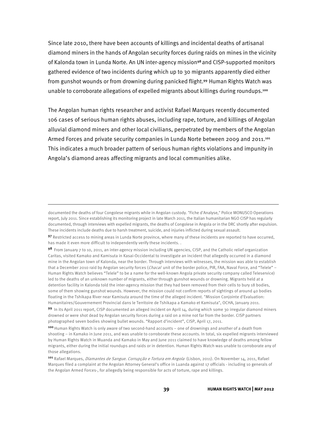Since late 2010, there have been accounts of killings and incidental deaths of artisanal diamond miners in the hands of Angolan security forces during raids on mines in the vicinity of Kalonda town in Lunda Norte. An UN inter-agency mission<sup>98</sup> and CISP-supported monitors gathered evidence of two incidents during which up to 30 migrants apparently died either from gunshot wounds or from drowning during panicked flight.<sup>99</sup> Human Rights Watch was unable to corroborate allegations of expelled migrants about killings during roundups.<sup>100</sup>

The Angolan human rights researcher and activist Rafael Marques recently documented 106 cases of serious human rights abuses, including rape, torture, and killings of Angolan alluvial diamond miners and other local civilians, perpetrated by members of the Angolan Armed Forces and private security companies in Lunda Norte between 2009 and 2011.<sup>101</sup> This indicates a much broader pattern of serious human rights violations and impunity in Angola's diamond areas affecting migrants and local communities alike.

documented the deaths of four Congolese migrants while in Angolan custody. "Fiche d'Analyse," Police MONUSCO Operations report, July 2011. Since establishing its monitoring project in late March 2011, the Italian humanitarian NGO CISP has regularly documented, through interviews with expelled migrants, the deaths of Congolese in Angola or in the DRC shortly after expulsion. These incidents include deaths due to harsh treatment, suicide, and injuries inflicted during sexual assault.

<sup>97</sup> Restricted access to mining areas in Lunda Norte province, where many of these incidents are reported to have occurred, has made it even more difficult to independently verify these incidents. .

<sup>98</sup> From January 7 to 10, 2011, an inter-agency mission including UN agencies, CISP, and the Catholic relief organization Caritas, visited Kamako and Kamisuta in Kasai-Occidental to investigate an incident that allegedly occurred in a diamond mine in the Angolan town of Kalonda, near the border. Through interviews with witnesses, the mission was able to establish that a December 2010 raid by Angolan security forces (Chacal unit of the border police, PIR, FAA, Naval Force, and "Telele" – Human Rights Watch believes "Telele" to be a name for the well-known Angola private security company called Teleservice) led to the deaths of an unknown number of migrants, either through gunshot wounds or drowning. Migrants held at a detention facility in Kalonda told the inter-agency mission that they had been removed from their cells to bury 18 bodies, some of them showing gunshot wounds. However, the mission could not confirm reports of sightings of around 40 bodies floating in the Tshikapa River near Kamisuta around the time of the alleged incident. "Mission Conjointe d'Evaluation: Humanitaires/Gouvernement Provincial dans le Territoire de Tshikapa a Kamako et Kamisuta", OCHA, January 2011.

<sup>99</sup> In its April 2011 report, CISP documented an alleged incident on April 14, during which some 30 irregular diamond miners drowned or were shot dead by Angolan security forces during a raid on a mine not far from the border. CISP partners photographed seven bodies showing bullet wounds. "Rapport d'incident", CISP, April 17, 2011.

<sup>100</sup> Human Rights Watch is only aware of two second-hand accounts – one of drownings and another of a death from shooting – in Kamako in June 2011, and was unable to corroborate these accounts. In total, six expelled migrants interviewed by Human Rights Watch in Muanda and Kamako in May and June 2011 claimed to have knowledge of deaths among fellow migrants, either during the initial roundups and raids or in detention. Human Rights Watch was unable to corroborate any of those allegations.

<sup>101</sup> Rafael Marques, Diamantes de Sangue. Corrupção e Tortura em Angola (Lisbon, 2011). On November 14, 2011, Rafael Marques filed a complaint at the Angolan Attorney General's office in Luanda against 17 officials - including 10 generals of the Angolan Armed Forces-, for allegedly being responsible for acts of torture, rape and killings.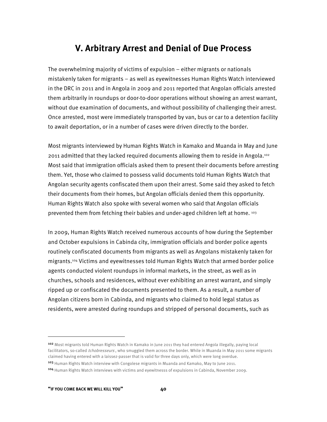## **V. Arbitrary Arrest and Denial of Due Process**

The overwhelming majority of victims of expulsion – either migrants or nationals mistakenly taken for migrants – as well as eyewitnesses Human Rights Watch interviewed in the DRC in 2011 and in Angola in 2009 and 2011 reported that Angolan officials arrested them arbitrarily in roundups or door-to-door operations without showing an arrest warrant, without due examination of documents, and without possibility of challenging their arrest. Once arrested, most were immediately transported by van, bus or car to a detention facility to await deportation, or in a number of cases were driven directly to the border.

Most migrants interviewed by Human Rights Watch in Kamako and Muanda in May and June 2011 admitted that they lacked required documents allowing them to reside in Angola.102 Most said that immigration officials asked them to present their documents before arresting them. Yet, those who claimed to possess valid documents told Human Rights Watch that Angolan security agents confiscated them upon their arrest. Some said they asked to fetch their documents from their homes, but Angolan officials denied them this opportunity. Human Rights Watch also spoke with several women who said that Angolan officials prevented them from fetching their babies and under-aged children left at home. 103

In 2009, Human Rights Watch received numerous accounts of how during the September and October expulsions in Cabinda city, immigration officials and border police agents routinely confiscated documents from migrants as well as Angolans mistakenly taken for migrants.104 Victims and eyewitnesses told Human Rights Watch that armed border police agents conducted violent roundups in informal markets, in the street, as well as in churches, schools and residences, without ever exhibiting an arrest warrant, and simply ripped up or confiscated the documents presented to them. As a result, a number of Angolan citizens born in Cabinda, and migrants who claimed to hold legal status as residents, were arrested during roundups and stripped of personal documents, such as

103 Human Rights Watch interview with Congolese migrants in Muanda and Kamako, May to June 2011.

<sup>102</sup> Most migrants told Human Rights Watch in Kamako in June 2011 they had entered Angola illegally, paying local facilitators, so-called *tchobresseurs*, who smuggled them across the border. While in Muanda in May 2011 some migrants claimed having entered with a laissez-passer that is valid for three days only, which were long overdue.

<sup>104</sup> Human Rights Watch interviews with victims and eyewitnesss of expulsions in Cabinda, November 2009.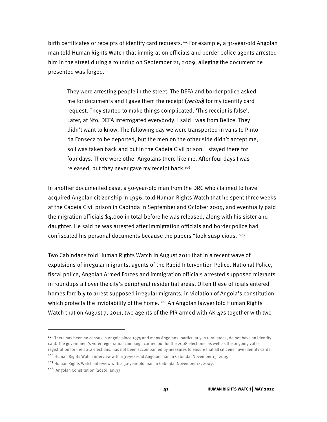birth certificates or receipts of identity card requests.<sup>105</sup> For example, a 31-year-old Angolan man told Human Rights Watch that immigration officials and border police agents arrested him in the street during a roundup on September 21, 2009, alleging the document he presented was forged.

They were arresting people in the street. The DEFA and border police asked me for documents and I gave them the receipt (*recibo*) for my identity card request. They started to make things complicated. 'This receipt is false'. Later, at Nto, DEFA interrogated everybody. I said I was from Belize. They didn't want to know. The following day we were transported in vans to Pinto da Fonseca to be deported, but the men on the other side didn't accept me, so I was taken back and put in the Cadeia Civil prison. I stayed there for four days. There were other Angolans there like me. After four days I was released, but they never gave my receipt back.<sup>106</sup>

In another documented case, a 50-year-old man from the DRC who claimed to have acquired Angolan citizenship in 1996, told Human Rights Watch that he spent three weeks at the Cadeia Civil prison in Cabinda in September and October 2009, and eventually paid the migration officials \$4,000 in total before he was released, along with his sister and daughter. He said he was arrested after immigration officials and border police had confiscated his personal documents because the papers "look suspicious."107

Two Cabindans told Human Rights Watch in August 2011 that in a recent wave of expulsions of irregular migrants, agents of the Rapid Intervention Police, National Police, fiscal police, Angolan Armed Forces and immigration officials arrested supposed migrants in roundups all over the city's peripheral residential areas. Often these officials entered homes forcibly to arrest supposed irregular migrants, in violation of Angola's constitution which protects the inviolability of the home. <sup>108</sup> An Angolan lawyer told Human Rights Watch that on August 7, 2011, two agents of the PIR armed with AK-47s together with two

j

<sup>&</sup>lt;sup>105</sup> There has been no census in Angola since 1975 and many Angolans, particularly in rural areas, do not have an identity card. The government's voter registration campaign carried out for the 2008 elections, as well as the ongoing voter registration for the 2012 elections, has not been accompanied by measures to ensure that all citizens have identity cards.

<sup>106</sup> Human Rights Watch interview with a 31-year-old Angolan man in Cabinda, November 15, 2009.

<sup>107</sup> Human Rights Watch interview with a 50-year-old man in Cabinda, November 14, 2009.

<sup>108</sup> Angolan Constitution (2010), art.33.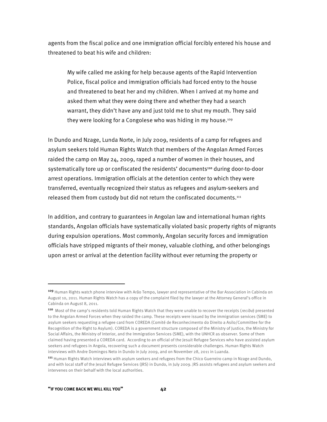agents from the fiscal police and one immigration official forcibly entered his house and threatened to beat his wife and children:

My wife called me asking for help because agents of the Rapid Intervention Police, fiscal police and immigration officials had forced entry to the house and threatened to beat her and my children. When I arrived at my home and asked them what they were doing there and whether they had a search warrant, they didn't have any and just told me to shut my mouth. They said they were looking for a Congolese who was hiding in my house.<sup>109</sup>

In Dundo and Nzage, Lunda Norte, in July 2009, residents of a camp for refugees and asylum seekers told Human Rights Watch that members of the Angolan Armed Forces raided the camp on May 24, 2009, raped a number of women in their houses, and systematically tore up or confiscated the residents' documents<sup>110</sup> during door-to-door arrest operations. Immigration officials at the detention center to which they were transferred, eventually recognized their status as refugees and asylum-seekers and released them from custody but did not return the confiscated documents.<sup>111</sup>

In addition, and contrary to guarantees in Angolan law and international human rights standards, Angolan officials have systematically violated basic property rights of migrants during expulsion operations. Most commonly, Angolan security forces and immigration officials have stripped migrants of their money, valuable clothing, and other belongings upon arrest or arrival at the detention facility without ever returning the property or

<sup>&</sup>lt;sup>109</sup> Human Rights watch phone interview with Arão Tempo, lawyer and representative of the Bar Association in Cabinda on August 10, 2011. Human Rights Watch has a copy of the complaint filed by the lawyer at the Attorney General's office in Cabinda on August 8, 2011.

<sup>110</sup> Most of the camp's residents told Human Rights Watch that they were unable to recover the receipts (recibo) presented to the Angolan Armed Forces when they raided the camp. These receipts were issued by the immigration services (SME) to asylum seekers requesting a refugee card from COREDA (Comité de Reconhecimento do Direito a Asilo/Committee for the Recognition of the Right to Asylum). COREDA is a government structure composed of the Ministry of Justice, the Ministry for Social Affairs, the Ministry of Interior, and the Immigration Services (SME), with the UNHCR as observer. Some of them claimed having presented a COREDA card. According to an official of the Jesuit Refugee Services who have assisted asylum seekers and refugees in Angola, recovering such a document presents considerable challenges. Human Rights Watch interviews with Andre Domingos Neto in Dundo in July 2009, and on November 28, 2011 in Luanda.

<sup>111</sup> Human Rights Watch interviews with asylum seekers and refugees from the Chico Guerreiro camp in Nzage and Dundo, and with local staff of the Jesuit Refugee Services (JRS) in Dundo, in July 2009. JRS assists refugees and asylum seekers and intervenes on their behalf with the local authorities.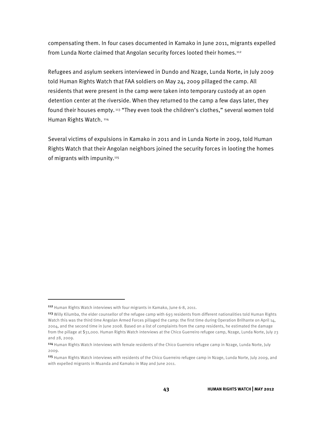compensating them. In four cases documented in Kamako in June 2011, migrants expelled from Lunda Norte claimed that Angolan security forces looted their homes.<sup>112</sup>

Refugees and asylum seekers interviewed in Dundo and Nzage, Lunda Norte, in July 2009 told Human Rights Watch that FAA soldiers on May 24, 2009 pillaged the camp. All residents that were present in the camp were taken into temporary custody at an open detention center at the riverside. When they returned to the camp a few days later, they found their houses empty.<sup>113</sup> "They even took the children's clothes," several women told Human Rights Watch. 114

Several victims of expulsions in Kamako in 2011 and in Lunda Norte in 2009, told Human Rights Watch that their Angolan neighbors joined the security forces in looting the homes of migrants with impunity.<sup>115</sup>

-

<sup>112</sup> Human Rights Watch interviews with four migrants in Kamako, June 6-8, 2011.

<sup>113</sup> Willy Kilumba, the elder counsellor of the refugee camp with 693 residents from different nationalities told Human Rights Watch this was the third time Angolan Armed Forces pillaged the camp: the first time during Operation Brilhante on April 14, 2004, and the second time in June 2008. Based on a list of complaints from the camp residents, he estimated the damage from the pillage at \$31,000. Human Rights Watch interviews at the Chico Guerreiro refugee camp, Nzage, Lunda Norte, July 23 and 28, 2009.

<sup>114</sup> Human Rights Watch interviews with female residents of the Chico Guerreiro refugee camp in Nzage, Lunda Norte, July 2009.

<sup>115</sup> Human Rights Watch interviews with residents of the Chico Guerreiro refugee camp in Nzage, Lunda Norte, July 2009, and with expelled migrants in Muanda and Kamako in May and June 2011.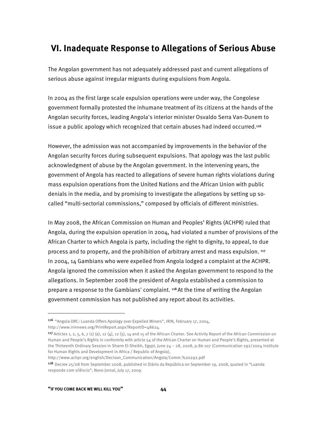## **VI. Inadequate Response to Allegations of Serious Abuse**

The Angolan government has not adequately addressed past and current allegations of serious abuse against irregular migrants during expulsions from Angola.

In 2004 as the first large scale expulsion operations were under way, the Congolese government formally protested the inhumane treatment of its citizens at the hands of the Angolan security forces, leading Angola's interior minister Osvaldo Serra Van-Dunem to issue a public apology which recognized that certain abuses had indeed occurred.<sup>116</sup>

However, the admission was not accompanied by improvements in the behavior of the Angolan security forces during subsequent expulsions. That apology was the last public acknowledgment of abuse by the Angolan government. In the intervening years, the government of Angola has reacted to allegations of severe human rights violations during mass expulsion operations from the United Nations and the African Union with public denials in the media, and by promising to investigate the allegations by setting up socalled "multi-sectorial commissions," composed by officials of different ministries.

In May 2008, the African Commission on Human and Peoples' Rights (ACHPR) ruled that Angola, during the expulsion operation in 2004, had violated a number of provisions of the African Charter to which Angola is party, including the right to dignity, to appeal, to due process and to property, and the prohibition of arbitrary arrest and mass expulsion. 117 In 2004, 14 Gambians who were expelled from Angola lodged a complaint at the ACHPR. Angola ignored the commission when it asked the Angolan government to respond to the allegations. In September 2008 the president of Angola established a commission to prepare a response to the Gambians' complaint. 118 At the time of writing the Angolan government commission has not published any report about its activities.

<sup>116</sup>"Angola-DRC: Luanda Offers Apology over Expelled Miners", IRIN, February 17, 2004, http://www.irinnews.org/PrintReport.aspx?ReportID=48624.

<sup>117</sup> Articles 1, 2, 5, 6, 7 (1) (a), 12 (4), 12 (5), 14 and 15 of the African Charter. See Activity Report of the African Commission on Human and People's Rights in conformity with article 54 of the African Charter on Human and People's Rights, presented at the Thirteenth Ordinary Session in Sharm El-Sheikh, Egypt, June 24 – 28, 2008, p.86-107 (Communication 292/2004 Institute for Human Rights and Development in Africa / Republic of Angola),

http://www.achpr.org/english/Decison\_Communication/Angola/Comm.%20292.pdf

<sup>118</sup>Decree 25/08 from September 2008, published in Diário da República on September 19, 2008, quoted in "Luanda responde com silêncio", Novo Jornal, July 17, 2009.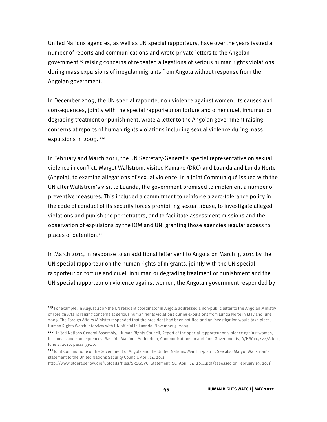United Nations agencies, as well as UN special rapporteurs, have over the years issued a number of reports and communications and wrote private letters to the Angolan government<sup>119</sup> raising concerns of repeated allegations of serious human rights violations during mass expulsions of irregular migrants from Angola without response from the Angolan government.

In December 2009, the UN special rapporteur on violence against women, its causes and consequences, jointly with the special rapporteur on torture and other cruel, inhuman or degrading treatment or punishment, wrote a letter to the Angolan government raising concerns at reports of human rights violations including sexual violence during mass expulsions in 2009.<sup>120</sup>

In February and March 2011, the UN Secretary-General's special representative on sexual violence in conflict, Margot Wallström, visited Kamako (DRC) and Luanda and Lunda Norte (Angola), to examine allegations of sexual violence. In a Joint Communiqué issued with the UN after Wallström's visit to Luanda, the government promised to implement a number of preventive measures. This included a commitment to reinforce a zero-tolerance policy in the code of conduct of its security forces prohibiting sexual abuse, to investigate alleged violations and punish the perpetrators, and to facilitate assessment missions and the observation of expulsions by the IOM and UN, granting those agencies regular access to places of detention.121

In March 2011, in response to an additional letter sent to Angola on March 3, 2011 by the UN special rapporteur on the human rights of migrants, jointly with the UN special rapporteur on torture and cruel, inhuman or degrading treatment or punishment and the UN special rapporteur on violence against women, the Angolan government responded by

j

<sup>119</sup> For example, in August 2009 the UN resident coordinator in Angola addressed a non-public letter to the Angolan Ministry of Foreign Affairs raising concerns at serious human rights violations during expulsions from Lunda Norte in May and June 2009. The Foreign Affairs Minister responded that the president had been notified and an investigation would take place. Human Rights Watch interview with UN official in Luanda, November 5, 2009.

<sup>120</sup> United Nations General Assembly, Human Rights Council, Report of the special rapporteur on violence against women, its causes and consequences, Rashida Manjoo, Addendum, Communications to and from Governments, A/HRC/14/22/Add.1, June 2, 2010, paras 33-40.

<sup>121</sup> Joint Communiqué of the Government of Angola and the United Nations, March 14, 2011. See also Margot Wallström's statement to the United Nations Security Council, April 14, 2011,

http://www.stoprapenow.org/uploads/files/SRSGSVC\_Statement\_SC\_April\_14\_2011.pdf (assessed on February 19, 2011)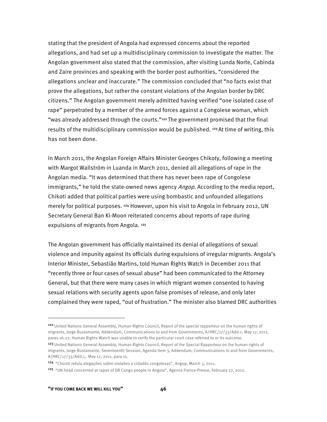stating that the president of Angola had expressed concerns about the reported allegations, and had set up a multidisciplinary commission to investigate the matter. The Angolan government also stated that the commission, after visiting Lunda Norte, Cabinda and Zaire provinces and speaking with the border post authorities, "considered the allegations unclear and inaccurate." The commission concluded that "no facts exist that prove the allegations, but rather the constant violations of the Angolan border by DRC citizens." The Angolan government merely admitted having verified "one isolated case of rape" perpetrated by a member of the armed forces against a Congolese woman, which "was already addressed through the courts."<sup>122</sup> The government promised that the final results of the multidisciplinary commission would be published.  $123$  At time of writing, this has not been done.

In March 2011, the Angolan Foreign Affairs Minister Georges Chikoty, following a meeting with Margot Wallström in Luanda in March 2011, denied all allegations of rape in the Angolan media. "It was determined that there has never been rape of Congolese immigrants," he told the state-owned news agency *Angop*. According to the media report, Chikoti added that political parties were using bombastic and unfounded allegations merely for political purposes. 124 However, upon his visit to Angola in February 2012, UN Secretary General Ban Ki-Moon reiterated concerns about reports of rape during expulsions of migrants from Angola. 125

The Angolan government has officially maintained its denial of allegations of sexual violence and impunity against its officials during expulsions of irregular migrants. Angola's Interior Minister, Sebastião Martins, told Human Rights Watch in December 2011 that "recently three or four cases of sexual abuse" had been communicated to the Attorney General, but that there were many cases in which migrant women consented to having sexual relations with security agents upon false promises of release, and only later complained they were raped, "out of frustration." The minister also blamed DRC authorities

<sup>&</sup>lt;sup>122</sup> United Nations General Assembly, Human Rights Council, Report of the special rapporteur on the human rights of migrants, Jorge Bustamante, Addendum, Communications to and from Governments, A/HRC/17/33/Add.1, May 17, 2011, paras 16-22. Human Rights Watch was unable to verify the particular court case referred to or its outcome.

<sup>123</sup> United Nations General Assembly, Human Rights Council, Report of the Special Rapporteur on the human rights of migrants, Jorge Bustamante, Seventeenth Session, Agenda Item 3, Addendum, Communications to and from Governments, A/HRC/17/33/Add.1, May 17, 2011, para 15.

<sup>124 &</sup>quot;Chicoti refuta alegações sobre violaões a cidadãs congolesas", Angop, March 3, 2011.

<sup>125</sup> "UN head concerned at rapes of DR Congo people in Angola", Agence France-Presse, February 27, 2012.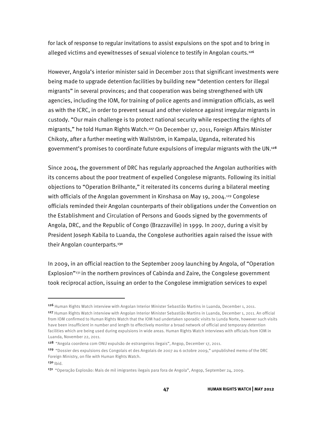for lack of response to regular invitations to assist expulsions on the spot and to bring in alleged victims and eyewitnesses of sexual violence to testify in Angolan courts.<sup>126</sup>

However, Angola's interior minister said in December 2011 that significant investments were being made to upgrade detention facilities by building new "detention centers for illegal migrants" in several provinces; and that cooperation was being strengthened with UN agencies, including the IOM, for training of police agents and immigration officials, as well as with the ICRC, in order to prevent sexual and other violence against irregular migrants in custody. "Our main challenge is to protect national security while respecting the rights of migrants," he told Human Rights Watch.127 On December 17, 2011, Foreign Affairs Minister Chikoty, after a further meeting with Wallström, in Kampala, Uganda, reiterated his government's promises to coordinate future expulsions of irregular migrants with the UN.128

Since 2004, the government of DRC has regularly approached the Angolan authorities with its concerns about the poor treatment of expelled Congolese migrants. Following its initial objections to "Operation Brilhante," it reiterated its concerns during a bilateral meeting with officials of the Angolan government in Kinshasa on May 19, 2004.<sup>129</sup> Congolese officials reminded their Angolan counterparts of their obligations under the Convention on the Establishment and Circulation of Persons and Goods signed by the governments of Angola, DRC, and the Republic of Congo (Brazzaville) in 1999. In 2007, during a visit by President Joseph Kabila to Luanda, the Congolese authorities again raised the issue with their Angolan counterparts.130

In 2009, in an official reaction to the September 2009 launching by Angola, of "Operation Explosion"<sup>131</sup> in the northern provinces of Cabinda and Zaire, the Congolese government took reciprocal action, issuing an order to the Congolese immigration services to expel

-

<sup>126</sup> Human Rights Watch interview with Angolan Interior Minister Sebastião Martins in Luanda, December 1, 2011.

<sup>127</sup> Human Rights Watch interview with Angolan Interior Minister Sebastião Martins in Luanda, December 1, 2011. An official from IOM confirmed to Human Rights Watch that the IOM had undertaken sporadic visits to Lunda Norte, however such visits have been insufficient in number and length to effectively monitor a broad network of official and temporary detention facilities which are being used during expulsions in wide areas. Human Rights Watch interviews with officials from IOM in Luanda, November 22, 2011.

<sup>128</sup> "Angola coordena com ONU expulsão de estrangeiros ilegais", Angop, December 17, 2011.

<sup>129</sup> "Dossier des expulsions des Congolais et des Angolais de 2007 au 6 octobre 2009," unpublished memo of the DRC Foreign Ministry, on file with Human Rights Watch.  $130$   $|bid.$ 

<sup>131</sup> "Operação Explosão: Mais de mil imigrantes ilegais para fora de Angola", Angop, September 24, 2009.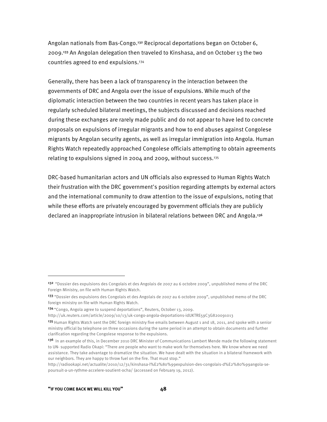Angolan nationals from Bas-Congo.132 Reciprocal deportations began on October 6, 2009.133 An Angolan delegation then traveled to Kinshasa, and on October 13 the two countries agreed to end expulsions.134

Generally, there has been a lack of transparency in the interaction between the governments of DRC and Angola over the issue of expulsions. While much of the diplomatic interaction between the two countries in recent years has taken place in regularly scheduled bilateral meetings, the subjects discussed and decisions reached during these exchanges are rarely made public and do not appear to have led to concrete proposals on expulsions of irregular migrants and how to end abuses against Congolese migrants by Angolan security agents, as well as irregular immigration into Angola. Human Rights Watch repeatedly approached Congolese officials attempting to obtain agreements relating to expulsions signed in 2004 and 2009, without success.135

DRC-based humanitarian actors and UN officials also expressed to Human Rights Watch their frustration with the DRC government's position regarding attempts by external actors and the international community to draw attention to the issue of expulsions, noting that while these efforts are privately encouraged by government officials they are publicly declared an inappropriate intrusion in bilateral relations between DRC and Angola.136

<sup>132 &</sup>quot;Dossier des expulsions des Congolais et des Angolais de 2007 au 6 octobre 2009", unpublished memo of the DRC Foreign Ministry, on file with Human Rights Watch.

<sup>133 &</sup>quot;Dossier des expulsions des Congolais et des Angolais de 2007 au 6 octobre 2009", unpublished memo of the DRC foreign ministry on file with Human Rights Watch.

<sup>&</sup>lt;sup>134</sup> "Congo, Angola agree to suspend deportations", Reuters, October 13, 2009.

http://uk.reuters.com/article/2009/10/13/uk-congo-angola-deportations-idUKTRE59C3G820091013

<sup>135</sup> Human Rights Watch sent the DRC foreign ministry five emails between August 1 and 18, 2011, and spoke with a senior ministry official by telephone on three occasions during the same period in an attempt to obtain documents and further clarification regarding the Congolese response to the expulsions.

<sup>136</sup> In an example of this, in December 2010 DRC Minister of Communications Lambert Mende made the following statement to UN- supported Radio Okapi: "There are people who want to make work for themselves here. We know where we need assistance. They take advantage to dramatize the situation. We have dealt with the situation in a bilateral framework with our neighbors. They are happy to throw fuel on the fire. That must stop."

http://radiookapi.net/actualite/2010/12/31/kinshasa-l%E2%80%99expulsion-des-congolais-d%E2%80%99angola-sepoursuit-a-un-rythme-accelere-soutient-ocha/ (accessed on February 19, 2012).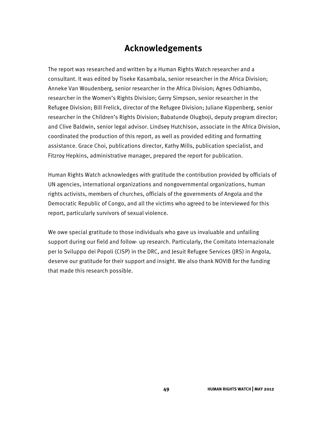## **Acknowledgements**

The report was researched and written by a Human Rights Watch researcher and a consultant. It was edited by Tiseke Kasambala, senior researcher in the Africa Division; Anneke Van Woudenberg, senior researcher in the Africa Division; Agnes Odhiambo, researcher in the Women's Rights Division; Gerry Simpson, senior researcher in the Refugee Division; Bill Frelick, director of the Refugee Division; Juliane Kippenberg, senior researcher in the Children's Rights Division; Babatunde Olugboji, deputy program director; and Clive Baldwin, senior legal advisor. Lindsey Hutchison, associate in the Africa Division, coordinated the production of this report, as well as provided editing and formatting assistance. Grace Choi, publications director, Kathy Mills, publication specialist, and Fitzroy Hepkins, administrative manager, prepared the report for publication.

Human Rights Watch acknowledges with gratitude the contribution provided by officials of UN agencies, international organizations and nongovernmental organizations, human rights activists, members of churches, officials of the governments of Angola and the Democratic Republic of Congo, and all the victims who agreed to be interviewed for this report, particularly survivors of sexual violence.

We owe special gratitude to those individuals who gave us invaluable and unfailing support during our field and follow- up research. Particularly, the Comitato Internazionale per lo Sviluppo dei Popoli (CISP) in the DRC, and Jesuit Refugee Services (JRS) in Angola, deserve our gratitude for their support and insight. We also thank NOVIB for the funding that made this research possible.